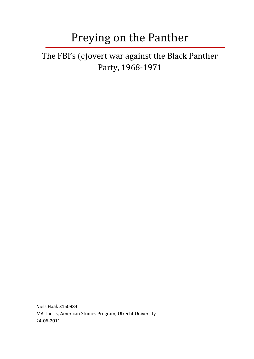# Preying on the Panther

The FBI's (c)overt war against the Black Panther Party, 1968-1971

Niels Haak 3150984 MA Thesis, American Studies Program, Utrecht University 24-06-2011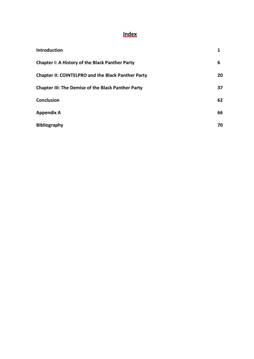## **Index**

| <b>Introduction</b>                                       |    |
|-----------------------------------------------------------|----|
| <b>Chapter I: A History of the Black Panther Party</b>    | 6  |
| <b>Chapter II: COINTELPRO and the Black Panther Party</b> | 20 |
| <b>Chapter III: The Demise of the Black Panther Party</b> | 37 |
| <b>Conclusion</b>                                         | 62 |
| <b>Appendix A</b>                                         | 66 |
| <b>Bibliography</b>                                       | 70 |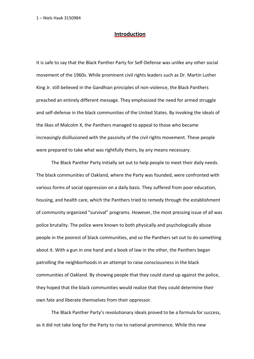#### **Introduction**

It is safe to say that the Black Panther Party for Self-Defense was unlike any other social movement of the 1960s. While prominent civil rights leaders such as Dr. Martin Luther King Jr. still believed in the Gandhian principles of non-violence, the Black Panthers preached an entirely different message. They emphasized the need for armed struggle and self-defense in the black communities of the United States. By invoking the ideals of the likes of Malcolm X, the Panthers managed to appeal to those who became increasingly disillusioned with the passivity of the civil rights movement. These people were prepared to take what was rightfully theirs, by any means necessary.

The Black Panther Party initially set out to help people to meet their daily needs. The black communities of Oakland, where the Party was founded, were confronted with various forms of social oppression on a daily basis. They suffered from poor education, housing, and health care, which the Panthers tried to remedy through the establishment of community organized "survival" programs. However, the most pressing issue of all was police brutality. The police were known to both physically and psychologically abuse people in the poorest of black communities, and so the Panthers set out to do something about it. With a gun in one hand and a book of law in the other, the Panthers began patrolling the neighborhoods in an attempt to raise consciousness in the black communities of Oakland. By showing people that they could stand up against the police, they hoped that the black communities would realize that they could determine their own fate and liberate themselves from their oppressor.

The Black Panther Party's revolutionary ideals proved to be a formula for success, as it did not take long for the Party to rise to national prominence. While this new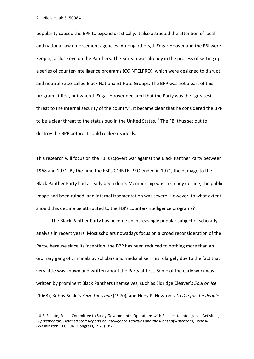**.** 

popularity caused the BPP to expand drastically, it also attracted the attention of local and national law enforcement agencies. Among others, J. Edgar Hoover and the FBI were keeping a close eye on the Panthers. The Bureau was already in the process of setting up a series of counter-intelligence programs (COINTELPRO), which were designed to disrupt and neutralize so-called Black Nationalist Hate Groups. The BPP was not a part of this program at first, but when J. Edgar Hoover declared that the Party was the "greatest threat to the internal security of the country", it became clear that he considered the BPP to be a clear threat to the status quo in the United States.  $^{1}$  The FBI thus set out to destroy the BPP before it could realize its ideals.

This research will focus on the FBI's (c)overt war against the Black Panther Party between 1968 and 1971. By the time the FBI's COINTELPRO ended in 1971, the damage to the Black Panther Party had already been done. Membership was in steady decline, the public image had been ruined, and internal fragmentation was severe. However, to what extent should this decline be attributed to the FBI's counter-intelligence programs?

The Black Panther Party has become an increasingly popular subject of scholarly analysis in recent years. Most scholars nowadays focus on a broad reconsideration of the Party, because since its inception, the BPP has been reduced to nothing more than an ordinary gang of criminals by scholars and media alike. This is largely due to the fact that very little was known and written about the Party at first. Some of the early work was written by prominent Black Panthers themselves, such as Eldridge Cleaver's *Soul on Ice*  (1968), Bobby Seale's *Seize the Time* (1970), and Huey P. Newton's *To Die for the People* 

 $1$  U.S. Senate, Select Committee to Study Governmental Operations with Respect to Intelligence Activities, *Supplementary Detailed Staff Reports on Intelligence Activities and the Rights of Americans, Book III*  (Washington, D.C.:  $94<sup>th</sup>$  Congress, 1975) 187.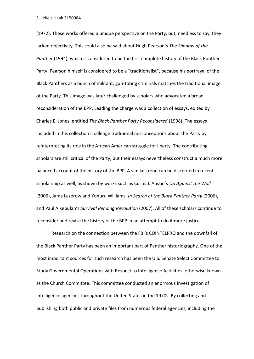(1972). These works offered a unique perspective on the Party, but, needless to say, they lacked objectivity. This could also be said about Hugh Pearson's *The Shadow of the Panther* (1994), which is considered to be the first complete history of the Black Panther Party. Pearson himself is considered to be a "traditionalist", because his portrayal of the Black Panthers as a bunch of militant, gun-toting criminals matches the traditional image of the Party. This image was later challenged by scholars who advocated a broad reconsideration of the BPP. Leading the charge was a collection of essays, edited by Charles E. Jones, entitled *The Black Panther Party Reconsidered* (1998). The essays included in this collection challenge traditional misconceptions about the Party by reinterpreting its role in the African American struggle for liberty. The contributing scholars are still critical of the Party, but their essays nevertheless construct a much more balanced account of the history of the BPP. A similar trend can be discerned in recent scholarship as well, as shown by works such as Curtis J. Austin's *Up Against the Wall*  (2006), Jama Lazerow and Yohuru Williams' *In Search of the Black Panther Party* (2006), and Paul Alkebulan's *Survival Pending Revolution* (2007). All of these scholars continue to reconsider and revise the history of the BPP in an attempt to do it more justice.

Research on the connection between the FBI's COINTELPRO and the downfall of the Black Panther Party has been an important part of Panther historiography. One of the most important sources for such research has been the U.S. Senate Select Committee to Study Governmental Operations with Respect to Intelligence Activities, otherwise known as the Church Committee. This committee conducted an enormous investigation of intelligence agencies throughout the United States in the 1970s. By collecting and publishing both public and private files from numerous federal agencies, including the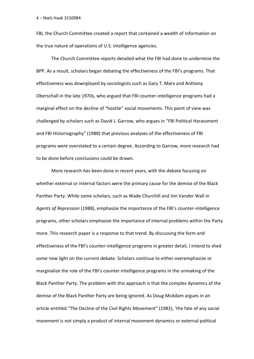FBI, the Church Committee created a report that contained a wealth of information on the true nature of operations of U.S. intelligence agencies.

The Church Committee reports detailed what the FBI had done to undermine the BPP. As a result, scholars began debating the effectiveness of the FBI's programs. That effectiveness was downplayed by sociologists such as Gary T. Marx and Anthony Oberschall in the late 1970s, who argued that FBI counter-intelligence programs had a marginal effect on the decline of "hostile" social movements. This point of view was challenged by scholars such as David J. Garrow, who argues in "FBI Political Harassment and FBI Historiography" (1988) that previous analyses of the effectiveness of FBI programs were overstated to a certain degree. According to Garrow, more research had to be done before conclusions could be drawn.

More research *has* been done in recent years, with the debate focusing on whether external or internal factors were the primary cause for the demise of the Black Panther Party. While some scholars, such as Wade Churchill and Jim Vander Wall in *Agents of Repression* (1988), emphasize the importance of the FBI's counter-intelligence programs, other scholars emphasize the importance of internal problems within the Party more. This research paper is a response to that trend. By discussing the form and effectiveness of the FBI's counter-intelligence programs in greater detail, I intend to shed some new light on the current debate. Scholars continue to either overemphasize or marginalize the role of the FBI's counter-intelligence programs in the unmaking of the Black Panther Party. The problem with this approach is that the complex dynamics of the demise of the Black Panther Party are being ignored. As Doug McAdam argues in an article entitled "The Decline of the Civil Rights Movement" (1983), 'the fate of any social movement is not simply a product of internal movement dynamics or external political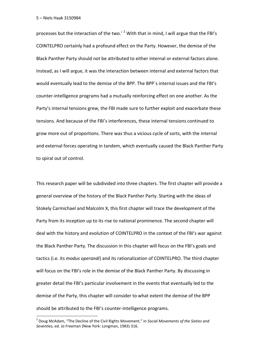1

processes but the interaction of the two.'  $2$  With that in mind, I will argue that the FBI's COINTELPRO certainly had a profound effect on the Party. However, the demise of the Black Panther Party should not be attributed to either internal or external factors alone. Instead, as I will argue, it was the interaction between internal and external factors that would eventually lead to the demise of the BPP. The BPP´s internal issues and the FBI's counter-intelligence programs had a mutually reinforcing effect on one another. As the Party's internal tensions grew, the FBI made sure to further exploit and exacerbate these tensions. And because of the FBI's interferences, these internal tensions continued to grow more out of proportions. There was thus a vicious cycle of sorts, with the internal and external forces operating in tandem, which eventually caused the Black Panther Party to spiral out of control.

This research paper will be subdivided into three chapters. The first chapter will provide a general overview of the history of the Black Panther Party. Starting with the ideas of Stokely Carmichael and Malcolm X, this first chapter will trace the development of the Party from its inception up to its rise to national prominence. The second chapter will deal with the history and evolution of COINTELPRO in the context of the FBI's war against the Black Panther Party. The discussion in this chapter will focus on the FBI's goals and tactics (i.e. its *modus operandi*) and its rationalization of COINTELPRO. The third chapter will focus on the FBI's role in the demise of the Black Panther Party. By discussing in greater detail the FBI's particular involvement in the events that eventually led to the demise of the Party, this chapter will consider to what extent the demise of the BPP should be attributed to the FBI's counter-intelligence programs.

<sup>2</sup> Doug McAdam, "The Decline of the Civil Rights Movement," in *Social Movements of the Sixties and Seventies,* ed. Jo Freeman (New York: Longman, 1983) 316.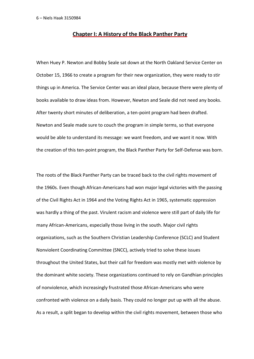#### **Chapter I: A History of the Black Panther Party**

When Huey P. Newton and Bobby Seale sat down at the North Oakland Service Center on October 15, 1966 to create a program for their new organization, they were ready to stir things up in America. The Service Center was an ideal place, because there were plenty of books available to draw ideas from. However, Newton and Seale did not need any books. After twenty short minutes of deliberation, a ten-point program had been drafted. Newton and Seale made sure to couch the program in simple terms, so that everyone would be able to understand its message: we want freedom, and we want it now. With the creation of this ten-point program, the Black Panther Party for Self-Defense was born.

The roots of the Black Panther Party can be traced back to the civil rights movement of the 1960s. Even though African-Americans had won major legal victories with the passing of the Civil Rights Act in 1964 and the Voting Rights Act in 1965, systematic oppression was hardly a thing of the past. Virulent racism and violence were still part of daily life for many African-Americans, especially those living in the south. Major civil rights organizations, such as the Southern Christian Leadership Conference (SCLC) and Student Nonviolent Coordinating Committee (SNCC), actively tried to solve these issues throughout the United States, but their call for freedom was mostly met with violence by the dominant white society. These organizations continued to rely on Gandhian principles of nonviolence, which increasingly frustrated those African-Americans who were confronted with violence on a daily basis. They could no longer put up with all the abuse. As a result, a split began to develop within the civil rights movement, between those who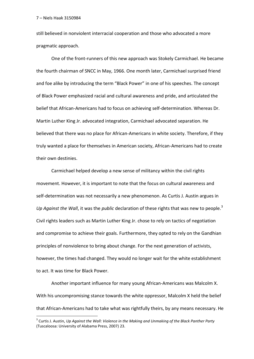1

still believed in nonviolent interracial cooperation and those who advocated a more pragmatic approach.

One of the front-runners of this new approach was Stokely Carmichael. He became the fourth chairman of SNCC in May, 1966. One month later, Carmichael surprised friend and foe alike by introducing the term "Black Power" in one of his speeches. The concept of Black Power emphasized racial and cultural awareness and pride, and articulated the belief that African-Americans had to focus on achieving self-determination. Whereas Dr. Martin Luther King Jr. advocated integration, Carmichael advocated separation. He believed that there was no place for African-Americans in white society. Therefore, if they truly wanted a place for themselves in American society, African-Americans had to create their own destinies.

Carmichael helped develop a new sense of militancy within the civil rights movement. However, it is important to note that the focus on cultural awareness and self-determination was not necessarily a new phenomenon. As Curtis J. Austin argues in *Up Against the Wall*, it was the *public* declaration of these rights that was new to people.<sup>3</sup> Civil rights leaders such as Martin Luther King Jr. chose to rely on tactics of negotiation and compromise to achieve their goals. Furthermore, they opted to rely on the Gandhian principles of nonviolence to bring about change. For the next generation of activists, however, the times had changed. They would no longer wait for the white establishment to act. It was time for Black Power.

Another important influence for many young African-Americans was Malcolm X. With his uncompromising stance towards the white oppressor, Malcolm X held the belief that African-Americans had to take what was rightfully theirs, by any means necessary. He

<sup>3</sup> Curtis J. Austin, *Up Against the Wall: Violence in the Making and Unmaking of the Black Panther Party*  (Tuscaloosa: University of Alabama Press, 2007) 23.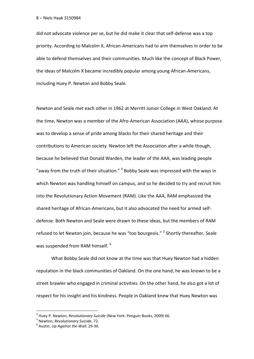did not advocate violence per se, but he did make it clear that self-defense was a top priority. According to Malcolm X, African-Americans had to arm themselves in order to be able to defend themselves and their communities. Much like the concept of Black Power, the ideas of Malcolm X became incredibly popular among young African-Americans, including Huey P. Newton and Bobby Seale.

Newton and Seale met each other in 1962 at Merritt Junior College in West Oakland. At the time, Newton was a member of the Afro-American Association (AAA), whose purpose was to develop a sense of pride among blacks for their shared heritage and their contributions to American society. Newton left the Association after a while though, because he believed that Donald Warden, the leader of the AAA, was leading people "away from the truth of their situation." <sup>4</sup> Bobby Seale was impressed with the ways in which Newton was handling himself on campus, and so he decided to try and recruit him into the Revolutionary Action Movement (RAM). Like the AAA, RAM emphasized the shared heritage of African-Americans, but it also advocated the need for armed selfdefense. Both Newton and Seale were drawn to these ideas, but the members of RAM refused to let Newton join, because he was "too bourgeois." <sup>5</sup> Shortly thereafter, Seale was suspended from RAM himself.<sup>6</sup>

What Bobby Seale did not know at the time was that Huey Newton had a hidden reputation in the black communities of Oakland. On the one hand, he was known to be a street brawler who engaged in criminal activities. On the other hand, he also got a lot of respect for his insight and his kindness. People in Oakland knew that Huey Newton was

<sup>4</sup> Huey P. Newton, *Revolutionary Suicide* (New York: Penguin Books, 2009) 66.

<sup>5</sup> Newton, *Revolutionary Suicide*, 72.

<sup>6</sup> Austin, *Up Against the Wall*, 29-30.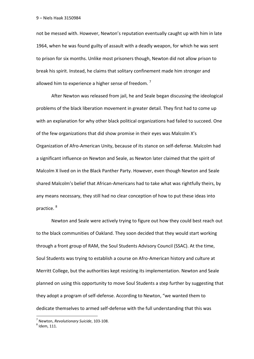not be messed with. However, Newton's reputation eventually caught up with him in late 1964, when he was found guilty of assault with a deadly weapon, for which he was sent to prison for six months. Unlike most prisoners though, Newton did not allow prison to break his spirit. Instead, he claims that solitary confinement made him stronger and allowed him to experience a higher sense of freedom.<sup>7</sup>

After Newton was released from jail, he and Seale began discussing the ideological problems of the black liberation movement in greater detail. They first had to come up with an explanation for why other black political organizations had failed to succeed. One of the few organizations that did show promise in their eyes was Malcolm X's Organization of Afro-American Unity, because of its stance on self-defense. Malcolm had a significant influence on Newton and Seale, as Newton later claimed that the spirit of Malcolm X lived on in the Black Panther Party. However, even though Newton and Seale shared Malcolm's belief that African-Americans had to take what was rightfully theirs, by any means necessary, they still had no clear conception of how to put these ideas into practice. <sup>8</sup>

Newton and Seale were actively trying to figure out how they could best reach out to the black communities of Oakland. They soon decided that they would start working through a front group of RAM, the Soul Students Advisory Council (SSAC). At the time, Soul Students was trying to establish a course on Afro-American history and culture at Merritt College, but the authorities kept resisting its implementation. Newton and Seale planned on using this opportunity to move Soul Students a step further by suggesting that they adopt a program of self-defense. According to Newton, "we wanted them to dedicate themselves to armed self-defense with the full understanding that this was

<sup>7</sup> Newton, *Revolutionary Suicide*, 103-108.

 $^8$  Idem, 111.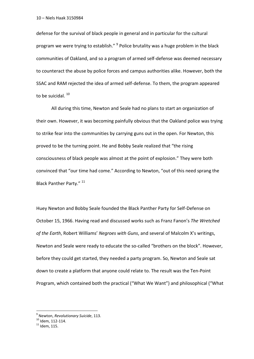defense for the survival of black people in general and in particular for the cultural program we were trying to establish." <sup>9</sup> Police brutality was a huge problem in the black communities of Oakland, and so a program of armed self-defense was deemed necessary to counteract the abuse by police forces and campus authorities alike. However, both the SSAC and RAM rejected the idea of armed self-defense. To them, the program appeared to be suicidal.<sup>10</sup>

All during this time, Newton and Seale had no plans to start an organization of their own. However, it was becoming painfully obvious that the Oakland police was trying to strike fear into the communities by carrying guns out in the open. For Newton, this proved to be the turning point. He and Bobby Seale realized that "the rising consciousness of black people was almost at the point of explosion." They were both convinced that "our time had come." According to Newton, "out of this need sprang the Black Panther Party." 11

Huey Newton and Bobby Seale founded the Black Panther Party for Self-Defense on October 15, 1966. Having read and discussed works such as Franz Fanon's *The Wretched of the Earth*, Robert Williams' *Negroes with Guns*, and several of Malcolm X's writings, Newton and Seale were ready to educate the so-called "brothers on the block". However, before they could get started, they needed a party program. So, Newton and Seale sat down to create a platform that anyone could relate to. The result was the Ten-Point Program, which contained both the practical ("What We Want") and philosophical ("What

<sup>9</sup> Newton, *Revolutionary Suicide*, 113.

 $^{10}$  Idem, 112-114.

 $^{11}$  Idem, 115.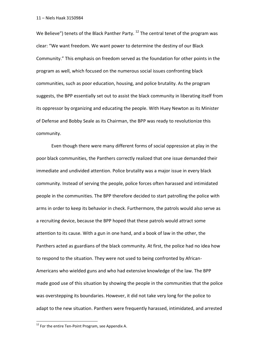We Believe") tenets of the Black Panther Party.  $12$  The central tenet of the program was clear: "We want freedom. We want power to determine the destiny of our Black Community." This emphasis on freedom served as the foundation for other points in the program as well, which focused on the numerous social issues confronting black communities, such as poor education, housing, and police brutality. As the program suggests, the BPP essentially set out to assist the black community in liberating itself from its oppressor by organizing and educating the people. With Huey Newton as its Minister of Defense and Bobby Seale as its Chairman, the BPP was ready to revolutionize this community.

Even though there were many different forms of social oppression at play in the poor black communities, the Panthers correctly realized that one issue demanded their immediate and undivided attention. Police brutality was a major issue in every black community. Instead of serving the people, police forces often harassed and intimidated people in the communities. The BPP therefore decided to start patrolling the police with arms in order to keep its behavior in check. Furthermore, the patrols would also serve as a recruiting device, because the BPP hoped that these patrols would attract some attention to its cause. With a gun in one hand, and a book of law in the other, the Panthers acted as guardians of the black community. At first, the police had no idea how to respond to the situation. They were not used to being confronted by African-Americans who wielded guns and who had extensive knowledge of the law. The BPP made good use of this situation by showing the people in the communities that the police was overstepping its boundaries. However, it did not take very long for the police to adapt to the new situation. Panthers were frequently harassed, intimidated, and arrested

<sup>&</sup>lt;sup>12</sup> For the entire Ten-Point Program, see Appendix A.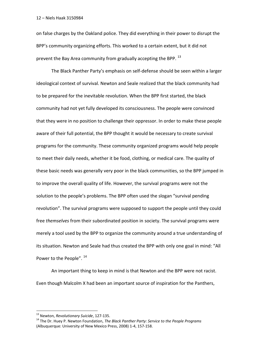on false charges by the Oakland police. They did everything in their power to disrupt the BPP's community organizing efforts. This worked to a certain extent, but it did not prevent the Bay Area community from gradually accepting the BPP. <sup>13</sup>

The Black Panther Party's emphasis on self-defense should be seen within a larger ideological context of survival. Newton and Seale realized that the black community had to be prepared for the inevitable revolution. When the BPP first started, the black community had not yet fully developed its consciousness. The people were convinced that they were in no position to challenge their oppressor. In order to make these people aware of their full potential, the BPP thought it would be necessary to create survival programs for the community. These community organized programs would help people to meet their daily needs, whether it be food, clothing, or medical care. The quality of these basic needs was generally very poor in the black communities, so the BPP jumped in to improve the overall quality of life. However, the survival programs were not the solution to the people's problems. The BPP often used the slogan "survival pending revolution". The survival programs were supposed to support the people until they could free *themselves* from their subordinated position in society. The survival programs were merely a tool used by the BPP to organize the community around a true understanding of its situation. Newton and Seale had thus created the BPP with only one goal in mind: "All Power to the People".  $14$ 

An important thing to keep in mind is that Newton and the BPP were not racist. Even though Malcolm X had been an important source of inspiration for the Panthers,

<sup>13</sup> Newton, *Revolutionary Suicide*, 127-135.

<sup>14</sup> The Dr. Huey P. Newton Foundation, *The Black Panther Party: Service to the People Programs*  (Albuquerque: University of New Mexico Press, 2008) 1-4, 157-158.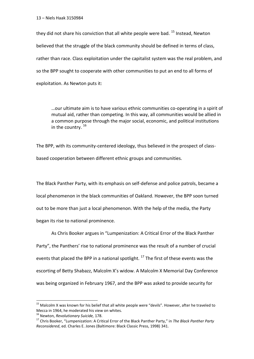they did not share his conviction that all white people were bad. <sup>15</sup> Instead, Newton believed that the struggle of the black community should be defined in terms of class, rather than race. Class exploitation under the capitalist system was the real problem, and so the BPP sought to cooperate with other communities to put an end to all forms of exploitation. As Newton puts it:

…our ultimate aim is to have various ethnic communities co-operating in a spirit of mutual aid, rather than competing. In this way, all communities would be allied in a common purpose through the major social, economic, and political institutions in the country.  $16$ 

The BPP, with its community-centered ideology, thus believed in the prospect of classbased cooperation between different ethnic groups and communities.

The Black Panther Party, with its emphasis on self-defense and police patrols, became a local phenomenon in the black communities of Oakland. However, the BPP soon turned out to be more than just a local phenomenon. With the help of the media, the Party began its rise to national prominence.

As Chris Booker argues in "Lumpenization: A Critical Error of the Black Panther Party", the Panthers' rise to national prominence was the result of a number of crucial events that placed the BPP in a national spotlight.  $^{17}$  The first of these events was the escorting of Betty Shabazz, Malcolm X's widow. A Malcolm X Memorial Day Conference was being organized in February 1967, and the BPP was asked to provide security for

<sup>&</sup>lt;sup>15</sup> Malcolm X was known for his belief that all white people were "devils". However, after he traveled to Mecca in 1964, he moderated his view on whites.

<sup>16</sup> Newton, *Revolutionary Suicide,* 178.

<sup>17</sup> Chris Booker, "Lumpenization: A Critical Error of the Black Panther Party," in *The Black Panther Party Reconsidered*, ed. Charles E. Jones (Baltimore: Black Classic Press, 1998) 341.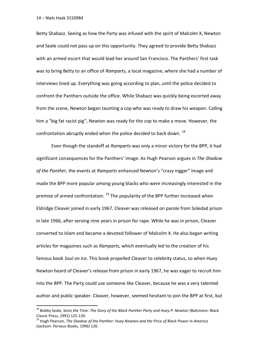**.** 

Betty Shabazz. Seeing as how the Party was infused with the spirit of Malcolm X, Newton and Seale could not pass up on this opportunity. They agreed to provide Betty Shabazz with an armed escort that would lead her around San Francisco. The Panthers' first task was to bring Betty to an office of *Ramparts*, a local magazine, where she had a number of interviews lined up. Everything was going according to plan, until the police decided to confront the Panthers outside the office. While Shabazz was quickly being escorted away from the scene, Newton began taunting a cop who was ready to draw his weapon. Calling him a "big fat racist pig", Newton was ready for the cop to make a move. However, the confrontation abruptly ended when the police decided to back down.<sup>18</sup>

Even though the standoff at *Ramparts* was only a minor victory for the BPP, it had significant consequences for the Panthers' image. As Hugh Pearson argues in *The Shadow of the Panther*, the events at *Ramparts* enhanced Newton's "crazy nigger" image and made the BPP more popular among young blacks who were increasingly interested in the premise of armed confrontation.  $^{19}$  The popularity of the BPP further increased when Eldridge Cleaver joined in early 1967. Cleaver was released on parole from Soledad prison in late 1966, after serving nine years in prison for rape. While he was in prison, Cleaver converted to Islam and became a devoted follower of Malcolm X. He also began writing articles for magazines such as *Ramparts,* which eventually led to the creation of his famous book *Soul on Ice*. This book propelled Cleaver to celebrity status, so when Huey Newton heard of Cleaver's release from prison in early 1967, he was eager to recruit him into the BPP. The Party could use someone like Cleaver, because he was a very talented author and public speaker. Cleaver, however, seemed hesitant to join the BPP at first, but

<sup>&</sup>lt;sup>18</sup> Bobby Seale, *Seize the Time: The Story of the Black Panther Party and Huey P. Newton (Baltimore: Black* Classic Press, 1991) 125-130.

<sup>19</sup> Hugh Pearson, *The Shadow of the Panther: Huey Newton and the Price of Black Power in America*  (Jackson: Perseus Books, 1996) 126.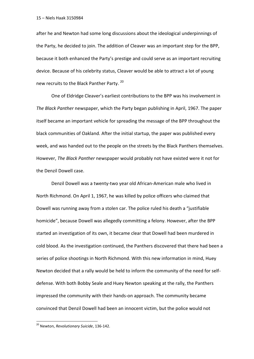after he and Newton had some long discussions about the ideological underpinnings of the Party, he decided to join. The addition of Cleaver was an important step for the BPP, because it both enhanced the Party's prestige and could serve as an important recruiting device. Because of his celebrity status, Cleaver would be able to attract a lot of young new recruits to the Black Panther Party.<sup>20</sup>

One of Eldridge Cleaver's earliest contributions to the BPP was his involvement in *The Black Panther* newspaper, which the Party began publishing in April, 1967. The paper itself became an important vehicle for spreading the message of the BPP throughout the black communities of Oakland. After the initial startup, the paper was published every week, and was handed out to the people on the streets by the Black Panthers themselves. However, *The Black Panther* newspaper would probably not have existed were it not for the Denzil Dowell case.

Denzil Dowell was a twenty-two year old African-American male who lived in North Richmond. On April 1, 1967, he was killed by police officers who claimed that Dowell was running away from a stolen car. The police ruled his death a "justifiable homicide", because Dowell was allegedly committing a felony. However, after the BPP started an investigation of its own, it became clear that Dowell had been murdered in cold blood. As the investigation continued, the Panthers discovered that there had been a series of police shootings in North Richmond. With this new information in mind, Huey Newton decided that a rally would be held to inform the community of the need for selfdefense. With both Bobby Seale and Huey Newton speaking at the rally, the Panthers impressed the community with their hands-on approach. The community became convinced that Denzil Dowell had been an innocent victim, but the police would not

<sup>20</sup> Newton, *Revolutionary Suicide*, 136-142.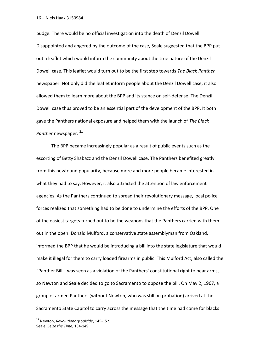budge. There would be no official investigation into the death of Denzil Dowell. Disappointed and angered by the outcome of the case, Seale suggested that the BPP put out a leaflet which would inform the community about the true nature of the Denzil Dowell case. This leaflet would turn out to be the first step towards *The Black Panther*  newspaper. Not only did the leaflet inform people about the Denzil Dowell case, it also allowed them to learn more about the BPP and its stance on self-defense. The Denzil Dowell case thus proved to be an essential part of the development of the BPP. It both gave the Panthers national exposure and helped them with the launch of *The Black Panther* newspaper.<sup>21</sup>

The BPP became increasingly popular as a result of public events such as the escorting of Betty Shabazz and the Denzil Dowell case. The Panthers benefited greatly from this newfound popularity, because more and more people became interested in what they had to say. However, it also attracted the attention of law enforcement agencies. As the Panthers continued to spread their revolutionary message, local police forces realized that something had to be done to undermine the efforts of the BPP. One of the easiest targets turned out to be the weapons that the Panthers carried with them out in the open. Donald Mulford, a conservative state assemblyman from Oakland, informed the BPP that he would be introducing a bill into the state legislature that would make it illegal for them to carry loaded firearms in public. This Mulford Act, also called the "Panther Bill", was seen as a violation of the Panthers' constitutional right to bear arms, so Newton and Seale decided to go to Sacramento to oppose the bill. On May 2, 1967, a group of armed Panthers (without Newton, who was still on probation) arrived at the Sacramento State Capitol to carry across the message that the time had come for blacks

<sup>21</sup> Newton, *Revolutionary Suicide*, 145-152. Seale, *Seize the Time*, 134-149.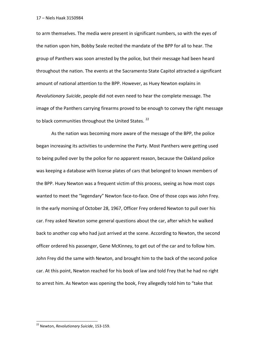to arm themselves. The media were present in significant numbers, so with the eyes of the nation upon him, Bobby Seale recited the mandate of the BPP for all to hear. The group of Panthers was soon arrested by the police, but their message had been heard throughout the nation. The events at the Sacramento State Capitol attracted a significant amount of national attention to the BPP. However, as Huey Newton explains in *Revolutionary Suicide*, people did not even need to hear the complete message. The image of the Panthers carrying firearms proved to be enough to convey the right message to black communities throughout the United States.<sup>22</sup>

As the nation was becoming more aware of the message of the BPP, the police began increasing its activities to undermine the Party. Most Panthers were getting used to being pulled over by the police for no apparent reason, because the Oakland police was keeping a database with license plates of cars that belonged to known members of the BPP. Huey Newton was a frequent victim of this process, seeing as how most cops wanted to meet the "legendary" Newton face-to-face. One of those cops was John Frey. In the early morning of October 28, 1967, Officer Frey ordered Newton to pull over his car. Frey asked Newton some general questions about the car, after which he walked back to another cop who had just arrived at the scene. According to Newton, the second officer ordered his passenger, Gene McKinney, to get out of the car and to follow him. John Frey did the same with Newton, and brought him to the back of the second police car. At this point, Newton reached for his book of law and told Frey that he had no right to arrest him. As Newton was opening the book, Frey allegedly told him to "take that

<sup>22</sup> Newton, *Revolutionary Suicide*, 153-159.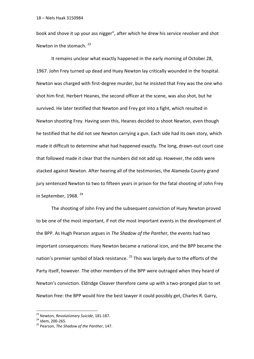book and shove it up your ass nigger", after which he drew his service revolver and shot Newton in the stomach.<sup>23</sup>

It remains unclear what exactly happened in the early morning of October 28, 1967. John Frey turned up dead and Huey Newton lay critically wounded in the hospital. Newton was charged with first-degree murder, but he insisted that Frey was the one who shot him first. Herbert Heanes, the second officer at the scene, was also shot, but he survived. He later testified that Newton and Frey got into a fight, which resulted in Newton shooting Frey. Having seen this, Heanes decided to shoot Newton, even though he testified that he did not see Newton carrying a gun. Each side had its own story, which made it difficult to determine what had happened exactly. The long, drawn-out court case that followed made it clear that the numbers did not add up. However, the odds were stacked against Newton. After hearing all of the testimonies, the Alameda County grand jury sentenced Newton to two to fifteen years in prison for the fatal shooting of John Frey in September, 1968.<sup>24</sup>

The shooting of John Frey and the subsequent conviction of Huey Newton proved to be one of the most important, if not *the* most important events in the development of the BPP. As Hugh Pearson argues in *The Shadow of the Panther*, the events had two important consequences: Huey Newton became a national icon, and the BPP became the nation's premier symbol of black resistance.  $25$  This was largely due to the efforts of the Party itself, however. The other members of the BPP were outraged when they heard of Newton's conviction. Eldridge Cleaver therefore came up with a two-pronged plan to set Newton free: the BPP would hire the best lawyer it could possibly get, Charles R. Garry,

<sup>23</sup> Newton, *Revolutionary Suicide*, 181-187.

<sup>24</sup> Idem, 200-265.

<sup>25</sup> Pearson, *The Shadow of the Panther*, 147.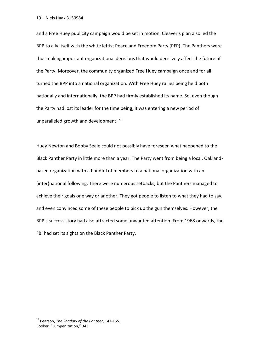and a Free Huey publicity campaign would be set in motion. Cleaver's plan also led the BPP to ally itself with the white leftist Peace and Freedom Party (PFP). The Panthers were thus making important organizational decisions that would decisively affect the future of the Party. Moreover, the community organized Free Huey campaign once and for all turned the BPP into a national organization. With Free Huey rallies being held both nationally and internationally, the BPP had firmly established its name. So, even though the Party had lost its leader for the time being, it was entering a new period of unparalleled growth and development.<sup>26</sup>

Huey Newton and Bobby Seale could not possibly have foreseen what happened to the Black Panther Party in little more than a year. The Party went from being a local, Oaklandbased organization with a handful of members to a national organization with an (inter)national following. There were numerous setbacks, but the Panthers managed to achieve their goals one way or another. They got people to listen to what they had to say, and even convinced some of these people to pick up the gun themselves. However, the BPP's success story had also attracted some unwanted attention. From 1968 onwards, the FBI had set its sights on the Black Panther Party.

<sup>26</sup> Pearson, *The Shadow of the Panther*, 147-165. Booker, "Lumpenization," 343.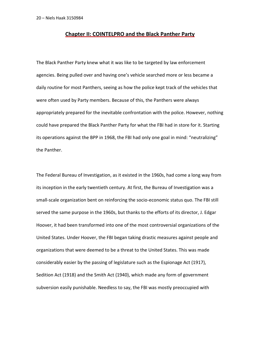### **Chapter II: COINTELPRO and the Black Panther Party**

The Black Panther Party knew what it was like to be targeted by law enforcement agencies. Being pulled over and having one's vehicle searched more or less became a daily routine for most Panthers, seeing as how the police kept track of the vehicles that were often used by Party members. Because of this, the Panthers were always appropriately prepared for the inevitable confrontation with the police. However, nothing could have prepared the Black Panther Party for what the FBI had in store for it. Starting its operations against the BPP in 1968, the FBI had only one goal in mind: "neutralizing" the Panther.

The Federal Bureau of Investigation, as it existed in the 1960s, had come a long way from its inception in the early twentieth century. At first, the Bureau of Investigation was a small-scale organization bent on reinforcing the socio-economic status quo. The FBI still served the same purpose in the 1960s, but thanks to the efforts of its director, J. Edgar Hoover, it had been transformed into one of the most controversial organizations of the United States. Under Hoover, the FBI began taking drastic measures against people and organizations that were deemed to be a threat to the United States. This was made considerably easier by the passing of legislature such as the Espionage Act (1917), Sedition Act (1918) and the Smith Act (1940), which made any form of government subversion easily punishable. Needless to say, the FBI was mostly preoccupied with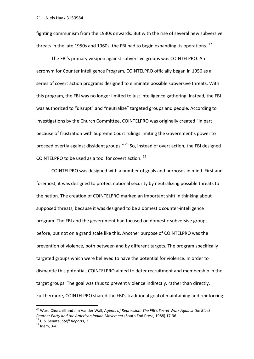fighting communism from the 1930s onwards. But with the rise of several new subversive threats in the late 1950s and 1960s, the FBI had to begin expanding its operations.  $^{27}$ 

The FBI's primary weapon against subversive groups was COINTELPRO. An acronym for Counter Intelligence Program, COINTELPRO officially began in 1956 as a series of covert action programs designed to eliminate possible subversive threats. With this program, the FBI was no longer limited to just intelligence gathering. Instead, the FBI was authorized to "disrupt" and "neutralize" targeted groups and people. According to investigations by the Church Committee, COINTELPRO was originally created "in part because of frustration with Supreme Court rulings limiting the Government's power to proceed overtly against dissident groups." <sup>28</sup> So, instead of overt action, the FBI designed COINTELPRO to be used as a tool for covert action. <sup>29</sup>

COINTELPRO was designed with a number of goals and purposes in mind. First and foremost, it was designed to protect national security by neutralizing possible threats to the nation. The creation of COINTELPRO marked an important shift in thinking about supposed threats, because it was designed to be a domestic counter-intelligence program. The FBI and the government had focused on domestic subversive groups before, but not on a grand scale like this. Another purpose of COINTELPRO was the prevention of violence, both between and by different targets. The program specifically targeted groups which were believed to have the potential for violence. In order to dismantle this potential, COINTELPRO aimed to deter recruitment and membership in the target groups. The goal was thus to prevent violence indirectly, rather than directly. Furthermore, COINTELPRO shared the FBI's traditional goal of maintaining and reinforcing

<sup>27</sup> Ward Churchill and Jim Vander Wall, *Agents of Repression: The FBI's Secret Wars Against the Black Panther Party and the American Indian Movement* (South End Press, 1988) 17-36.

<sup>28</sup> U.S. Senate, *Staff Reports,* 3.

 $29$  Idem, 3-4.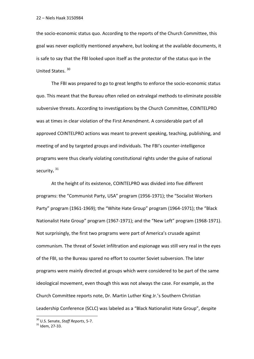the socio-economic status quo. According to the reports of the Church Committee, this goal was never explicitly mentioned anywhere, but looking at the available documents, it is safe to say that the FBI looked upon itself as the protector of the status quo in the United States. <sup>30</sup>

The FBI was prepared to go to great lengths to enforce the socio-economic status quo. This meant that the Bureau often relied on extralegal methods to eliminate possible subversive threats. According to investigations by the Church Committee, COINTELPRO was at times in clear violation of the First Amendment. A considerable part of all approved COINTELPRO actions was meant to prevent speaking, teaching, publishing, and meeting of and by targeted groups and individuals. The FBI's counter-intelligence programs were thus clearly violating constitutional rights under the guise of national security**.** 31

At the height of its existence, COINTELPRO was divided into five different programs: the "Communist Party, USA" program (1956-1971); the "Socialist Workers Party" program (1961-1969); the "White Hate Group" program (1964-1971); the "Black Nationalist Hate Group" program (1967-1971); and the "New Left" program (1968-1971). Not surprisingly, the first two programs were part of America's crusade against communism. The threat of Soviet infiltration and espionage was still very real in the eyes of the FBI, so the Bureau spared no effort to counter Soviet subversion. The later programs were mainly directed at groups which were considered to be part of the same ideological movement, even though this was not always the case. For example, as the Church Committee reports note, Dr. Martin Luther King Jr.'s Southern Christian Leadership Conference (SCLC) was labeled as a "Black Nationalist Hate Group", despite

<sup>30</sup> U.S. Senate, *Staff Reports*, 5-7.

 $31$  Idem, 27-33.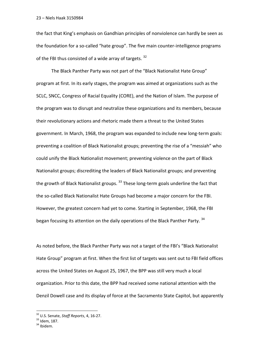the fact that King's emphasis on Gandhian principles of nonviolence can hardly be seen as the foundation for a so-called "hate group". The five main counter-intelligence programs of the FBI thus consisted of a wide array of targets.  $32$ 

The Black Panther Party was not part of the "Black Nationalist Hate Group" program at first. In its early stages, the program was aimed at organizations such as the SCLC, SNCC, Congress of Racial Equality (CORE), and the Nation of Islam. The purpose of the program was to disrupt and neutralize these organizations and its members, because their revolutionary actions and rhetoric made them a threat to the United States government. In March, 1968, the program was expanded to include new long-term goals: preventing a coalition of Black Nationalist groups; preventing the rise of a "messiah" who could unify the Black Nationalist movement; preventing violence on the part of Black Nationalist groups; discrediting the leaders of Black Nationalist groups; and preventing the growth of Black Nationalist groups.  $^{33}$  These long-term goals underline the fact that the so-called Black Nationalist Hate Groups had become a major concern for the FBI. However, the greatest concern had yet to come. Starting in September, 1968, the FBI began focusing its attention on the daily operations of the Black Panther Party.<sup>34</sup>

As noted before, the Black Panther Party was not a target of the FBI's "Black Nationalist Hate Group" program at first. When the first list of targets was sent out to FBI field offices across the United States on August 25, 1967, the BPP was still very much a local organization. Prior to this date, the BPP had received some national attention with the Denzil Dowell case and its display of force at the Sacramento State Capitol, but apparently

<sup>32</sup> U.S. Senate, *Staff Reports*, 4, 16-27.

<sup>33</sup> Idem, 187.

<sup>&</sup>lt;sup>34</sup> Ibidem.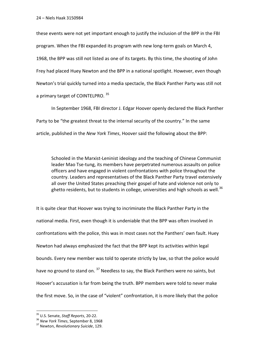these events were not yet important enough to justify the inclusion of the BPP in the FBI program. When the FBI expanded its program with new long-term goals on March 4, 1968, the BPP was still not listed as one of its targets. By this time, the shooting of John Frey had placed Huey Newton and the BPP in a national spotlight. However, even though Newton's trial quickly turned into a media spectacle, the Black Panther Party was still not a primary target of COINTELPRO. 35

In September 1968, FBI director J. Edgar Hoover openly declared the Black Panther Party to be "the greatest threat to the internal security of the country." In the same article, published in the *New York Times*, Hoover said the following about the BPP:

Schooled in the Marxist-Leninist ideology and the teaching of Chinese Communist leader Mao Tse-tung, its members have perpetrated numerous assaults on police officers and have engaged in violent confrontations with police throughout the country. Leaders and representatives of the Black Panther Party travel extensively all over the United States preaching their gospel of hate and violence not only to ghetto residents, but to students in college, universities and high schools as well.<sup>36</sup>

It is quite clear that Hoover was trying to incriminate the Black Panther Party in the national media. First, even though it is undeniable that the BPP was often involved in confrontations with the police, this was in most cases not the Panthers' own fault. Huey Newton had always emphasized the fact that the BPP kept its activities within legal bounds. Every new member was told to operate strictly by law, so that the police would have no ground to stand on. <sup>37</sup> Needless to say, the Black Panthers were no saints, but Hoover's accusation is far from being the truth. BPP members were told to never make the first move. So, in the case of "violent" confrontation, it is more likely that the police

<sup>35</sup> U.S. Senate, *Staff Reports*, 20-22.

<sup>36</sup> *New York Times*, September 8, 1968

<sup>37</sup> Newton, *Revolutionary Suicide*, 129.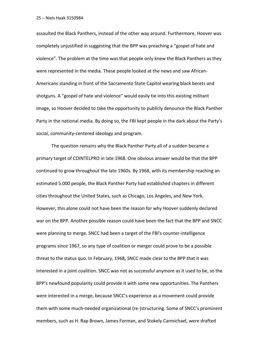assaulted the Black Panthers, instead of the other way around. Furthermore, Hoover was completely unjustified in suggesting that the BPP was preaching a "gospel of hate and violence". The problem at the time was that people only knew the Black Panthers as they were represented in the media. These people looked at the news and saw African-Americans standing in front of the Sacramento State Capitol wearing black berets and shotguns. A "gospel of hate and violence" would easily tie into this existing militant image, so Hoover decided to take the opportunity to publicly denounce the Black Panther Party in the national media. By doing so, the FBI kept people in the dark about the Party's social, community-centered ideology and program.

The question remains why the Black Panther Party all of a sudden became a primary target of COINTELPRO in late 1968. One obvious answer would be that the BPP continued to grow throughout the late 1960s. By 1968, with its membership reaching an estimated 5.000 people, the Black Panther Party had established chapters in different cities throughout the United States, such as Chicago, Los Angeles, and New York. However, this alone could not have been the reason for why Hoover suddenly declared war on the BPP. Another possible reason could have been the fact that the BPP and SNCC were planning to merge. SNCC had been a target of the FBI's counter-intelligence programs since 1967, so any type of coalition or merger could prove to be a possible threat to the status quo. In February, 1968, SNCC made clear to the BPP that it was interested in a joint coalition. SNCC was not as successful anymore as it used to be, so the BPP's newfound popularity could provide it with some new opportunities. The Panthers were interested in a merge, because SNCC's experience as a movement could provide them with some much-needed organizational (re-)structuring. Some of SNCC's prominent members, such as H. Rap Brown, James Forman, and Stokely Carmichael, were drafted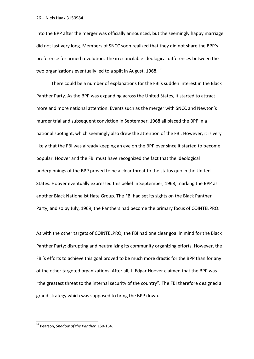into the BPP after the merger was officially announced, but the seemingly happy marriage did not last very long. Members of SNCC soon realized that they did not share the BPP's preference for armed revolution. The irreconcilable ideological differences between the two organizations eventually led to a split in August, 1968. <sup>38</sup>

There could be a number of explanations for the FBI's sudden interest in the Black Panther Party. As the BPP was expanding across the United States, it started to attract more and more national attention. Events such as the merger with SNCC and Newton's murder trial and subsequent conviction in September, 1968 all placed the BPP in a national spotlight, which seemingly also drew the attention of the FBI. However, it is very likely that the FBI was already keeping an eye on the BPP ever since it started to become popular. Hoover and the FBI must have recognized the fact that the ideological underpinnings of the BPP proved to be a clear threat to the status quo in the United States. Hoover eventually expressed this belief in September, 1968, marking the BPP as another Black Nationalist Hate Group. The FBI had set its sights on the Black Panther Party, and so by July, 1969, the Panthers had become the primary focus of COINTELPRO.

As with the other targets of COINTELPRO, the FBI had one clear goal in mind for the Black Panther Party: disrupting and neutralizing its community organizing efforts. However, the FBI's efforts to achieve this goal proved to be much more drastic for the BPP than for any of the other targeted organizations. After all, J. Edgar Hoover claimed that the BPP was "the greatest threat to the internal security of the country". The FBI therefore designed a grand strategy which was supposed to bring the BPP down.

<sup>38</sup> Pearson, *Shadow of the Panther*, 150-164.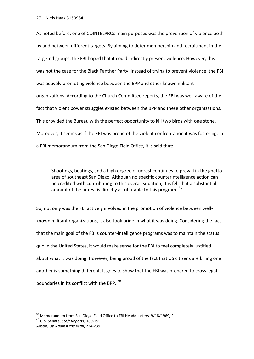As noted before, one of COINTELPROs main purposes was the prevention of violence both by and between different targets. By aiming to deter membership and recruitment in the targeted groups, the FBI hoped that it could indirectly prevent violence. However, this was not the case for the Black Panther Party. Instead of trying to prevent violence, the FBI was actively promoting violence between the BPP and other known militant organizations. According to the Church Committee reports, the FBI was well aware of the fact that violent power struggles existed between the BPP and these other organizations. This provided the Bureau with the perfect opportunity to kill two birds with one stone. Moreover, it seems as if the FBI was proud of the violent confrontation it was fostering. In a FBI memorandum from the San Diego Field Office, it is said that:

Shootings, beatings, and a high degree of unrest continues to prevail in the ghetto area of southeast San Diego. Although no specific counterintelligence action can be credited with contributing to this overall situation, it is felt that a substantial amount of the unrest is directly attributable to this program.  $39$ 

So, not only was the FBI actively involved in the promotion of violence between wellknown militant organizations, it also took pride in what it was doing. Considering the fact that the main goal of the FBI's counter-intelligence programs was to maintain the status quo in the United States, it would make sense for the FBI to feel completely justified about what it was doing. However, being proud of the fact that US citizens are killing one another is something different. It goes to show that the FBI was prepared to cross legal boundaries in its conflict with the BPP. <sup>40</sup>

<sup>&</sup>lt;sup>39</sup> Memorandum from San Diego Field Office to FBI Headquarters, 9/18/1969, 2.

<sup>40</sup> U.S. Senate, *Staff Reports*, 189-195.

Austin, *Up Against the Wall*, 224-239.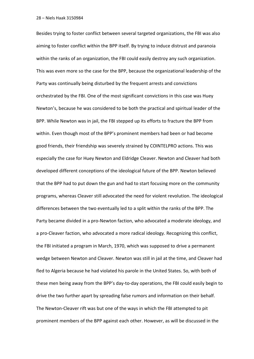Besides trying to foster conflict between several targeted organizations, the FBI was also aiming to foster conflict within the BPP itself. By trying to induce distrust and paranoia within the ranks of an organization, the FBI could easily destroy any such organization. This was even more so the case for the BPP, because the organizational leadership of the Party was continually being disturbed by the frequent arrests and convictions orchestrated by the FBI. One of the most significant convictions in this case was Huey Newton's, because he was considered to be both the practical and spiritual leader of the BPP. While Newton was in jail, the FBI stepped up its efforts to fracture the BPP from within. Even though most of the BPP's prominent members had been or had become good friends, their friendship was severely strained by COINTELPRO actions. This was especially the case for Huey Newton and Eldridge Cleaver. Newton and Cleaver had both developed different conceptions of the ideological future of the BPP. Newton believed that the BPP had to put down the gun and had to start focusing more on the community programs, whereas Cleaver still advocated the need for violent revolution. The ideological differences between the two eventually led to a split within the ranks of the BPP. The Party became divided in a pro-Newton faction, who advocated a moderate ideology, and a pro-Cleaver faction, who advocated a more radical ideology. Recognizing this conflict, the FBI initiated a program in March, 1970, which was supposed to drive a permanent wedge between Newton and Cleaver. Newton was still in jail at the time, and Cleaver had fled to Algeria because he had violated his parole in the United States. So, with both of these men being away from the BPP's day-to-day operations, the FBI could easily begin to drive the two further apart by spreading false rumors and information on their behalf. The Newton-Cleaver rift was but one of the ways in which the FBI attempted to pit prominent members of the BPP against each other. However, as will be discussed in the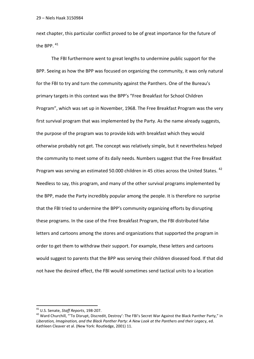next chapter, this particular conflict proved to be of great importance for the future of the BPP.<sup>41</sup>

The FBI furthermore went to great lengths to undermine public support for the BPP. Seeing as how the BPP was focused on organizing the community, it was only natural for the FBI to try and turn the community against the Panthers. One of the Bureau's primary targets in this context was the BPP's "Free Breakfast for School Children Program", which was set up in November, 1968. The Free Breakfast Program was the very first survival program that was implemented by the Party. As the name already suggests, the purpose of the program was to provide kids with breakfast which they would otherwise probably not get. The concept was relatively simple, but it nevertheless helped the community to meet some of its daily needs. Numbers suggest that the Free Breakfast Program was serving an estimated 50.000 children in 45 cities across the United States. <sup>42</sup> Needless to say, this program, and many of the other survival programs implemented by the BPP, made the Party incredibly popular among the people. It is therefore no surprise that the FBI tried to undermine the BPP's community organizing efforts by disrupting these programs. In the case of the Free Breakfast Program, the FBI distributed false letters and cartoons among the stores and organizations that supported the program in order to get them to withdraw their support. For example, these letters and cartoons would suggest to parents that the BPP was serving their children diseased food. If that did not have the desired effect, the FBI would sometimes send tactical units to a location

<sup>41</sup> U.S. Senate, *Staff Reports*, 198-207.

<sup>&</sup>lt;sup>42</sup> Ward Churchill, "'To Disrupt, Discredit, Destroy': The FBI's Secret War Against the Black Panther Party," in *Liberation, Imagination, and the Black Panther Party: A New Look at the Panthers and their Legac*y, ed. Kathleen Cleaver et al. (New York: Routledge, 2001) 11.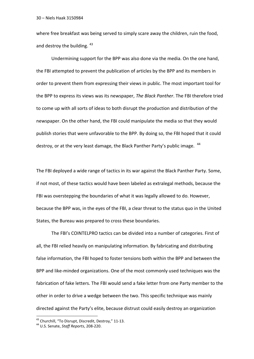where free breakfast was being served to simply scare away the children, ruin the food, and destroy the building.  $43$ 

Undermining support for the BPP was also done via the media. On the one hand, the FBI attempted to prevent the publication of articles by the BPP and its members in order to prevent them from expressing their views in public. The most important tool for the BPP to express its views was its newspaper, *The Black Panther*. The FBI therefore tried to come up with all sorts of ideas to both disrupt the production and distribution of the newspaper. On the other hand, the FBI could manipulate the media so that they would publish stories that were unfavorable to the BPP. By doing so, the FBI hoped that it could destroy, or at the very least damage, the Black Panther Party's public image. <sup>44</sup>

The FBI deployed a wide range of tactics in its war against the Black Panther Party. Some, if not most, of these tactics would have been labeled as extralegal methods, because the FBI was overstepping the boundaries of what it was legally allowed to do. However, because the BPP was, in the eyes of the FBI, a clear threat to the status quo in the United States, the Bureau was prepared to cross these boundaries.

The FBI's COINTELPRO tactics can be divided into a number of categories. First of all, the FBI relied heavily on manipulating information. By fabricating and distributing false information, the FBI hoped to foster tensions both within the BPP and between the BPP and like-minded organizations. One of the most commonly used techniques was the fabrication of fake letters. The FBI would send a fake letter from one Party member to the other in order to drive a wedge between the two. This specific technique was mainly directed against the Party's elite, because distrust could easily destroy an organization

<sup>&</sup>lt;sup>43</sup> Churchill, "To Disrupt, Discredit, Destroy," 11-13.

<sup>44</sup> U.S. Senate, *Staff Reports*, 208-220.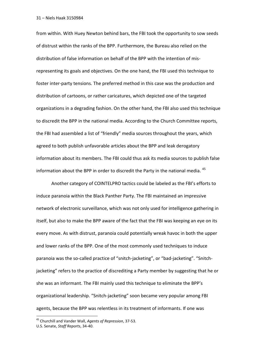from within. With Huey Newton behind bars, the FBI took the opportunity to sow seeds of distrust within the ranks of the BPP. Furthermore, the Bureau also relied on the distribution of false information on behalf of the BPP with the intention of misrepresenting its goals and objectives. On the one hand, the FBI used this technique to foster inter-party tensions. The preferred method in this case was the production and distribution of cartoons, or rather caricatures, which depicted one of the targeted organizations in a degrading fashion. On the other hand, the FBI also used this technique to discredit the BPP in the national media. According to the Church Committee reports, the FBI had assembled a list of "friendly" media sources throughout the years, which agreed to both publish unfavorable articles about the BPP and leak derogatory information about its members. The FBI could thus ask its media sources to publish false information about the BPP in order to discredit the Party in the national media. <sup>45</sup>

Another category of COINTELPRO tactics could be labeled as the FBI's efforts to induce paranoia within the Black Panther Party. The FBI maintained an impressive network of electronic surveillance, which was not only used for intelligence gathering in itself, but also to make the BPP aware of the fact that the FBI was keeping an eye on its every move. As with distrust, paranoia could potentially wreak havoc in both the upper and lower ranks of the BPP. One of the most commonly used techniques to induce paranoia was the so-called practice of "snitch-jacketing", or "bad-jacketing". "Snitchjacketing" refers to the practice of discrediting a Party member by suggesting that he or she was an informant. The FBI mainly used this technique to eliminate the BPP's organizational leadership. "Snitch-jacketing" soon became very popular among FBI agents, because the BPP was relentless in its treatment of informants. If one was

<sup>45</sup> Churchill and Vander Wall, *Agents of Repression*, 37-53.

U.S. Senate, *Staff Reports*, 34-40.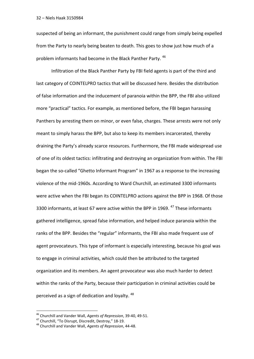suspected of being an informant, the punishment could range from simply being expelled from the Party to nearly being beaten to death. This goes to show just how much of a problem informants had become in the Black Panther Party.<sup>46</sup>

Infiltration of the Black Panther Party by FBI field agents is part of the third and last category of COINTELPRO tactics that will be discussed here. Besides the distribution of false information and the inducement of paranoia within the BPP, the FBI also utilized more "practical" tactics. For example, as mentioned before, the FBI began harassing Panthers by arresting them on minor, or even false, charges. These arrests were not only meant to simply harass the BPP, but also to keep its members incarcerated, thereby draining the Party's already scarce resources. Furthermore, the FBI made widespread use of one of its oldest tactics: infiltrating and destroying an organization from within. The FBI began the so-called "Ghetto Informant Program" in 1967 as a response to the increasing violence of the mid-1960s. According to Ward Churchill, an estimated 3300 informants were active when the FBI began its COINTELPRO actions against the BPP in 1968. Of those 3300 informants, at least 67 were active within the BPP in 1969.<sup>47</sup> These informants gathered intelligence, spread false information, and helped induce paranoia within the ranks of the BPP. Besides the "regular" informants, the FBI also made frequent use of agent provocateurs. This type of informant is especially interesting, because his goal was to engage in criminal activities, which could then be attributed to the targeted organization and its members. An agent provocateur was also much harder to detect within the ranks of the Party, because their participation in criminal activities could be perceived as a sign of dedication and loyalty. <sup>48</sup>

<sup>46</sup> Churchill and Vander Wall, *Agents of Repression*, 39-40, 49-51.

<sup>47</sup> Churchill, "To Disrupt, Discredit, Destroy," 18-19.

<sup>48</sup> Churchill and Vander Wall, *Agents of Repression*, 44-48.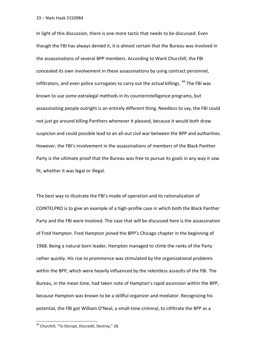In light of this discussion, there is one more tactic that needs to be discussed. Even though the FBI has always denied it, it is almost certain that the Bureau was involved in the assassinations of several BPP members. According to Ward Churchill, the FBI concealed its own involvement in these assassinations by using contract personnel, infiltrators, and even police surrogates to carry out the actual killings. <sup>49</sup> The FBI was known to use some extralegal methods in its counterintelligence programs, but assassinating people outright is an entirely different thing. Needless to say, the FBI could not just go around killing Panthers whenever it pleased, because it would both draw suspicion and could possible lead to an all-out civil war between the BPP and authorities. However, the FBI's involvement in the assassinations of members of the Black Panther Party is the ultimate proof that the Bureau was free to pursue its goals in any way it saw fit, whether it was legal or illegal.

The best way to illustrate the FBI's mode of operation and its rationalization of COINTELPRO is to give an example of a high-profile case in which both the Black Panther Party and the FBI were involved. The case that will be discussed here is the assassination of Fred Hampton. Fred Hampton joined the BPP's Chicago chapter in the beginning of 1968. Being a natural born leader, Hampton managed to climb the ranks of the Party rather quickly. His rise to prominence was stimulated by the organizational problems within the BPP, which were heavily influenced by the relentless assaults of the FBI. The Bureau, in the mean time, had taken note of Hampton's rapid ascension within the BPP, because Hampton was known to be a skillful organizer and mediator. Recognizing his potential, the FBI got William O'Neal, a small-time criminal, to infiltrate the BPP as a

<sup>&</sup>lt;sup>49</sup> Churchill, "To Disrupt, Discredit, Destroy," 28.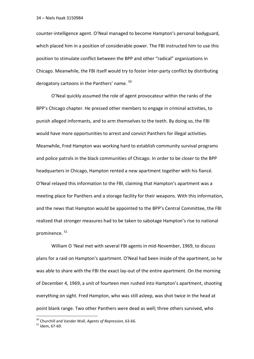counter-intelligence agent. O'Neal managed to become Hampton's personal bodyguard, which placed him in a position of considerable power. The FBI instructed him to use this position to stimulate conflict between the BPP and other "radical" organizations in Chicago. Meanwhile, the FBI itself would try to foster inter-party conflict by distributing derogatory cartoons in the Panthers' name.  $50$ 

O'Neal quickly assumed the role of agent provocateur within the ranks of the BPP's Chicago chapter. He pressed other members to engage in criminal activities, to punish alleged informants, and to arm themselves to the teeth. By doing so, the FBI would have more opportunities to arrest and convict Panthers for illegal activities. Meanwhile, Fred Hampton was working hard to establish community survival programs and police patrols in the black communities of Chicago. In order to be closer to the BPP headquarters in Chicago, Hampton rented a new apartment together with his fiancé. O'Neal relayed this information to the FBI, claiming that Hampton's apartment was a meeting place for Panthers and a storage facility for their weapons. With this information, and the news that Hampton would be appointed to the BPP's Central Committee, the FBI realized that stronger measures had to be taken to sabotage Hampton's rise to national prominence. <sup>51</sup>

William O 'Neal met with several FBI agents in mid-November, 1969, to discuss plans for a raid on Hampton's apartment. O'Neal had been inside of the apartment, so he was able to share with the FBI the exact lay-out of the entire apartment. On the morning of December 4, 1969, a unit of fourteen men rushed into Hampton's apartment, shooting everything on sight. Fred Hampton, who was still asleep, was shot twice in the head at point blank range. Two other Panthers were dead as well; three others survived, who

<sup>50</sup> Churchill and Vander Wall, *Agents of Repression*, 63-66.

 $51$  Idem, 67-69.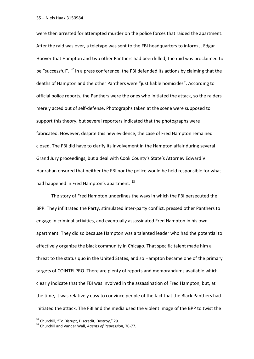were then arrested for attempted murder on the police forces that raided the apartment. After the raid was over, a teletype was sent to the FBI headquarters to inform J. Edgar Hoover that Hampton and two other Panthers had been killed; the raid was proclaimed to be "successful". <sup>52</sup> In a press conference, the FBI defended its actions by claiming that the deaths of Hampton and the other Panthers were "justifiable homicides". According to official police reports, the Panthers were the ones who initiated the attack, so the raiders merely acted out of self-defense. Photographs taken at the scene were supposed to support this theory, but several reporters indicated that the photographs were fabricated. However, despite this new evidence, the case of Fred Hampton remained closed. The FBI did have to clarify its involvement in the Hampton affair during several Grand Jury proceedings, but a deal with Cook County's State's Attorney Edward V. Hanrahan ensured that neither the FBI nor the police would be held responsible for what had happened in Fred Hampton's apartment. <sup>53</sup>

The story of Fred Hampton underlines the ways in which the FBI persecuted the BPP. They infiltrated the Party, stimulated inter-party conflict, pressed other Panthers to engage in criminal activities, and eventually assassinated Fred Hampton in his own apartment. They did so because Hampton was a talented leader who had the potential to effectively organize the black community in Chicago. That specific talent made him a threat to the status quo in the United States, and so Hampton became one of the primary targets of COINTELPRO. There are plenty of reports and memorandums available which clearly indicate that the FBI was involved in the assassination of Fred Hampton, but, at the time, it was relatively easy to convince people of the fact that the Black Panthers had initiated the attack. The FBI and the media used the violent image of the BPP to twist the

<sup>52</sup> Churchill, "To Disrupt, Discredit, Destroy," 29.

<sup>53</sup> Churchill and Vander Wall, *Agents of Repression*, 70-77.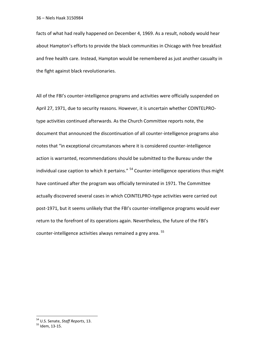facts of what had really happened on December 4, 1969. As a result, nobody would hear about Hampton's efforts to provide the black communities in Chicago with free breakfast and free health care. Instead, Hampton would be remembered as just another casualty in the fight against black revolutionaries.

All of the FBI's counter-intelligence programs and activities were officially suspended on April 27, 1971, due to security reasons. However, it is uncertain whether COINTELPROtype activities continued afterwards. As the Church Committee reports note, the document that announced the discontinuation of all counter-intelligence programs also notes that "in exceptional circumstances where it is considered counter-intelligence action is warranted, recommendations should be submitted to the Bureau under the individual case caption to which it pertains."  $54$  Counter-intelligence operations thus might have continued after the program was officially terminated in 1971. The Committee actually discovered several cases in which COINTELPRO-type activities were carried out post-1971, but it seems unlikely that the FBI's counter-intelligence programs would ever return to the forefront of its operations again. Nevertheless, the future of the FBI's counter-intelligence activities always remained a grey area. <sup>55</sup>

<sup>54</sup> U.S. Senate, *Staff Reports*, 13.

<sup>&</sup>lt;sup>55</sup> Idem, 13-15.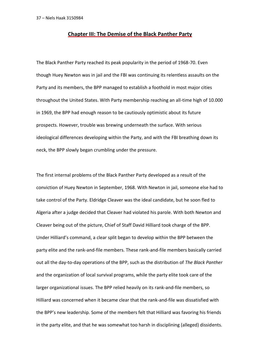### **Chapter III: The Demise of the Black Panther Party**

The Black Panther Party reached its peak popularity in the period of 1968-70. Even though Huey Newton was in jail and the FBI was continuing its relentless assaults on the Party and its members, the BPP managed to establish a foothold in most major cities throughout the United States. With Party membership reaching an all-time high of 10.000 in 1969, the BPP had enough reason to be cautiously optimistic about its future prospects. However, trouble was brewing underneath the surface. With serious ideological differences developing within the Party, and with the FBI breathing down its neck, the BPP slowly began crumbling under the pressure.

The first internal problems of the Black Panther Party developed as a result of the conviction of Huey Newton in September, 1968. With Newton in jail, someone else had to take control of the Party. Eldridge Cleaver was the ideal candidate, but he soon fled to Algeria after a judge decided that Cleaver had violated his parole. With both Newton and Cleaver being out of the picture, Chief of Staff David Hilliard took charge of the BPP. Under Hilliard's command, a clear split began to develop within the BPP between the party elite and the rank-and-file members. These rank-and-file members basically carried out all the day-to-day operations of the BPP, such as the distribution of *The Black Panther*  and the organization of local survival programs, while the party elite took care of the larger organizational issues. The BPP relied heavily on its rank-and-file members, so Hilliard was concerned when it became clear that the rank-and-file was dissatisfied with the BPP's new leadership. Some of the members felt that Hilliard was favoring his friends in the party elite, and that he was somewhat too harsh in disciplining (alleged) dissidents.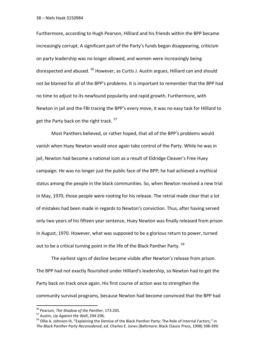Furthermore, according to Hugh Pearson, Hilliard and his friends within the BPP became increasingly corrupt. A significant part of the Party's funds began disappearing, criticism on party leadership was no longer allowed, and women were increasingly being disrespected and abused. <sup>56</sup> However, as Curtis J. Austin argues, Hilliard can and should not be blamed for all of the BPP's problems. It is important to remember that the BPP had no time to adjust to its newfound popularity and rapid growth. Furthermore, with Newton in jail and the FBI tracing the BPP's every move, it was no easy task for Hilliard to get the Party back on the right track. <sup>57</sup>

Most Panthers believed, or rather hoped, that all of the BPP's problems would vanish when Huey Newton would once again take control of the Party. While he was in jail, Newton had become a national icon as a result of Eldridge Cleaver's Free Huey campaign. He was no longer just the public face of the BPP; he had achieved a mythical status among the people in the black communities. So, when Newton received a new trial in May, 1970, those people were rooting for his release. The retrial made clear that a lot of mistakes had been made in regards to Newton's conviction. Thus, after having served only two years of his fifteen year sentence, Huey Newton was finally released from prison in August, 1970. However, what was supposed to be a glorious return to power, turned out to be a critical turning point in the life of the Black Panther Party.<sup>58</sup>

The earliest signs of decline became visible after Newton's release from prison. The BPP had not exactly flourished under Hilliard's leadership, so Newton had to get the Party back on track once again. His first course of action was to strengthen the community survival programs, because Newton had become convinced that the BPP had

<sup>56</sup> Pearson*, The Shadow of the Panther*, 173-205.

<sup>57</sup> Austin, *Up Against the Wall*, 294-296.

<sup>&</sup>lt;sup>58</sup> Ollie A. Johnson III, "Explaining the Demise of the Black Panther Party: The Role of Internal Factors," in *The Black Panther Party Reconsidered*, ed. Charles E. Jones (Baltimore: Black Classic Press, 1998) 398-399.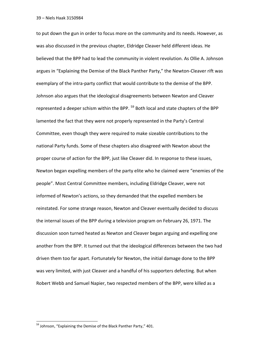to put down the gun in order to focus more on the community and its needs. However, as was also discussed in the previous chapter, Eldridge Cleaver held different ideas. He believed that the BPP had to lead the community in violent revolution. As Ollie A. Johnson argues in "Explaining the Demise of the Black Panther Party," the Newton-Cleaver rift was exemplary of the intra-party conflict that would contribute to the demise of the BPP. Johnson also argues that the ideological disagreements between Newton and Cleaver represented a deeper schism within the BPP. <sup>59</sup> Both local and state chapters of the BPP lamented the fact that they were not properly represented in the Party's Central Committee, even though they were required to make sizeable contributions to the national Party funds. Some of these chapters also disagreed with Newton about the proper course of action for the BPP, just like Cleaver did. In response to these issues, Newton began expelling members of the party elite who he claimed were "enemies of the people". Most Central Committee members, including Eldridge Cleaver, were not informed of Newton's actions, so they demanded that the expelled members be reinstated. For some strange reason, Newton and Cleaver eventually decided to discuss the internal issues of the BPP during a television program on February 26, 1971. The discussion soon turned heated as Newton and Cleaver began arguing and expelling one another from the BPP. It turned out that the ideological differences between the two had driven them too far apart. Fortunately for Newton, the initial damage done to the BPP was very limited, with just Cleaver and a handful of his supporters defecting. But when Robert Webb and Samuel Napier, two respected members of the BPP, were killed as a

<sup>&</sup>lt;sup>59</sup> Johnson, "Explaining the Demise of the Black Panther Party," 401.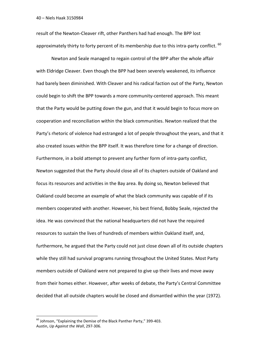result of the Newton-Cleaver rift, other Panthers had had enough. The BPP lost approximately thirty to forty percent of its membership due to this intra-party conflict.  $^{60}$ 

Newton and Seale managed to regain control of the BPP after the whole affair with Eldridge Cleaver. Even though the BPP had been severely weakened, its influence had barely been diminished. With Cleaver and his radical faction out of the Party, Newton could begin to shift the BPP towards a more community-centered approach. This meant that the Party would be putting down the gun, and that it would begin to focus more on cooperation and reconciliation within the black communities. Newton realized that the Party's rhetoric of violence had estranged a lot of people throughout the years, and that it also created issues within the BPP itself. It was therefore time for a change of direction. Furthermore, in a bold attempt to prevent any further form of intra-party conflict, Newton suggested that the Party should close all of its chapters outside of Oakland and focus its resources and activities in the Bay area. By doing so, Newton believed that Oakland could become an example of what the black community was capable of if its members cooperated with another. However, his best friend, Bobby Seale, rejected the idea. He was convinced that the national headquarters did not have the required resources to sustain the lives of hundreds of members within Oakland itself, and, furthermore, he argued that the Party could not just close down all of its outside chapters while they still had survival programs running throughout the United States. Most Party members outside of Oakland were not prepared to give up their lives and move away from their homes either. However, after weeks of debate, the Party's Central Committee decided that all outside chapters would be closed and dismantled within the year (1972).

 $^{60}$  Johnson, "Explaining the Demise of the Black Panther Party," 399-403. Austin, *Up Against the Wall*, 297-306.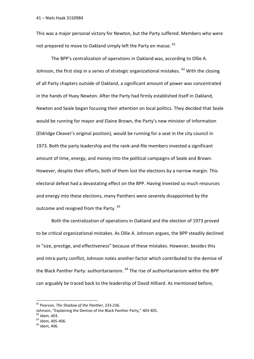This was a major personal victory for Newton, but the Party suffered. Members who were not prepared to move to Oakland simply left the Party en masse.  $61$ 

The BPP's centralization of operations in Oakland was, according to Ollie A. Johnson, the first step in a series of strategic organizational mistakes.  $62$  With the closing of all Party chapters outside of Oakland, a significant amount of power was concentrated in the hands of Huey Newton. After the Party had firmly established itself in Oakland, Newton and Seale began focusing their attention on local politics. They decided that Seale would be running for mayor and Elaine Brown, the Party's new minister of information (Eldridge Cleaver's original position), would be running for a seat in the city council in 1973. Both the party leadership and the rank-and-file members invested a significant amount of time, energy, and money into the political campaigns of Seale and Brown. However, despite their efforts, both of them lost the elections by a narrow margin. This electoral defeat had a devastating effect on the BPP. Having invested so much resources and energy into these elections, many Panthers were severely disappointed by the outcome and resigned from the Party. <sup>63</sup>

Both the centralization of operations in Oakland and the election of 1973 proved to be critical organizational mistakes. As Ollie A. Johnson argues, the BPP steadily declined in "size, prestige, and effectiveness" because of these mistakes. However, besides this and intra-party conflict, Johnson notes another factor which contributed to the demise of the Black Panther Party: authoritarianism. <sup>64</sup> The rise of authoritarianism within the BPP can arguably be traced back to the leadership of David Hilliard. As mentioned before,

<sup>61</sup> Pearson, *The Shadow of the Panther*, 233-236.

Johnson, "Explaining the Demise of the Black Panther Party," 403-405.

 $62$  Idem, 403.

 $63$  Idem, 405-406.

 $<sup>64</sup>$  Idem, 406.</sup>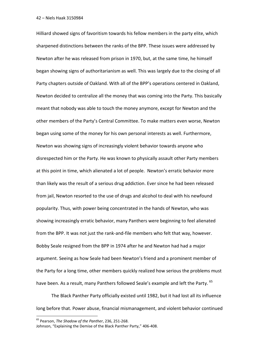Hilliard showed signs of favoritism towards his fellow members in the party elite, which sharpened distinctions between the ranks of the BPP. These issues were addressed by Newton after he was released from prison in 1970, but, at the same time, he himself began showing signs of authoritarianism as well. This was largely due to the closing of all Party chapters outside of Oakland. With all of the BPP's operations centered in Oakland, Newton decided to centralize all the money that was coming into the Party. This basically meant that nobody was able to touch the money anymore, except for Newton and the other members of the Party's Central Committee. To make matters even worse, Newton began using some of the money for his own personal interests as well. Furthermore, Newton was showing signs of increasingly violent behavior towards anyone who disrespected him or the Party. He was known to physically assault other Party members at this point in time, which alienated a lot of people. Newton's erratic behavior more than likely was the result of a serious drug addiction. Ever since he had been released from jail, Newton resorted to the use of drugs and alcohol to deal with his newfound popularity. Thus, with power being concentrated in the hands of Newton, who was showing increasingly erratic behavior, many Panthers were beginning to feel alienated from the BPP. It was not just the rank-and-file members who felt that way, however. Bobby Seale resigned from the BPP in 1974 after he and Newton had had a major argument. Seeing as how Seale had been Newton's friend and a prominent member of the Party for a long time, other members quickly realized how serious the problems must have been. As a result, many Panthers followed Seale's example and left the Party. <sup>65</sup>

The Black Panther Party officially existed until 1982, but it had lost all its influence long before that. Power abuse, financial mismanagement, and violent behavior continued

<sup>65</sup> Pearson, *The Shadow of the Panther*, 236, 251-268.

Johnson, "Explaining the Demise of the Black Panther Party," 406-408.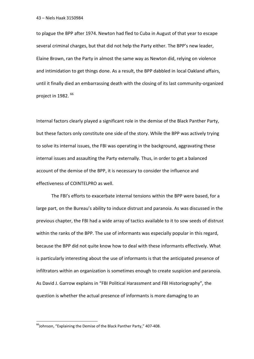to plague the BPP after 1974. Newton had fled to Cuba in August of that year to escape several criminal charges, but that did not help the Party either. The BPP's new leader, Elaine Brown, ran the Party in almost the same way as Newton did, relying on violence and intimidation to get things done. As a result, the BPP dabbled in local Oakland affairs, until it finally died an embarrassing death with the closing of its last community-organized project in 1982. <sup>66</sup>

Internal factors clearly played a significant role in the demise of the Black Panther Party, but these factors only constitute one side of the story. While the BPP was actively trying to solve its internal issues, the FBI was operating in the background, aggravating these internal issues and assaulting the Party externally. Thus, in order to get a balanced account of the demise of the BPP, it is necessary to consider the influence and effectiveness of COINTELPRO as well.

The FBI's efforts to exacerbate internal tensions within the BPP were based, for a large part, on the Bureau's ability to induce distrust and paranoia. As was discussed in the previous chapter, the FBI had a wide array of tactics available to it to sow seeds of distrust within the ranks of the BPP. The use of informants was especially popular in this regard, because the BPP did not quite know how to deal with these informants effectively. What is particularly interesting about the use of informants is that the anticipated presence of infiltrators within an organization is sometimes enough to create suspicion and paranoia. As David J. Garrow explains in "FBI Political Harassment and FBI Historiography", the question is whether the actual presence of informants is more damaging to an

<sup>&</sup>lt;sup>66</sup>Johnson, "Explaining the Demise of the Black Panther Party," 407-408.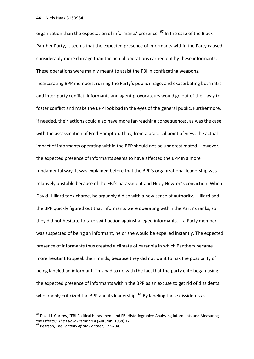organization than the expectation of informants' presence. <sup>67</sup> In the case of the Black Panther Party, it seems that the expected presence of informants within the Party caused considerably more damage than the actual operations carried out by these informants. These operations were mainly meant to assist the FBI in confiscating weapons, incarcerating BPP members, ruining the Party's public image, and exacerbating both intraand inter-party conflict. Informants and agent provocateurs would go out of their way to foster conflict and make the BPP look bad in the eyes of the general public. Furthermore, if needed, their actions could also have more far-reaching consequences, as was the case with the assassination of Fred Hampton. Thus, from a practical point of view, the actual impact of informants operating within the BPP should not be underestimated. However, the expected presence of informants seems to have affected the BPP in a more fundamental way. It was explained before that the BPP's organizational leadership was relatively unstable because of the FBI's harassment and Huey Newton's conviction. When David Hilliard took charge, he arguably did so with a new sense of authority. Hilliard and the BPP quickly figured out that informants were operating within the Party's ranks, so they did not hesitate to take swift action against alleged informants. If a Party member was suspected of being an informant, he or she would be expelled instantly. The expected presence of informants thus created a climate of paranoia in which Panthers became more hesitant to speak their minds, because they did not want to risk the possibility of being labeled an informant. This had to do with the fact that the party elite began using the expected presence of informants within the BPP as an excuse to get rid of dissidents who openly criticized the BPP and its leadership. <sup>68</sup> By labeling these dissidents as

 $<sup>67</sup>$  David J. Garrow. "FBI Political Harassment and FBI Historiography: Analyzing Informants and Measuring</sup> the Effects," *The Public Historian* 4 (Autumn, 1988) 17.

<sup>68</sup> Pearson, *The Shadow of the Panther*, 173-204.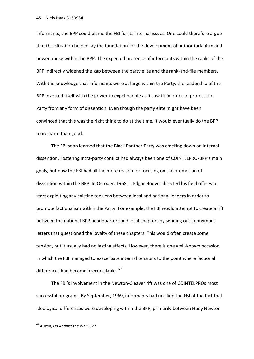informants, the BPP could blame the FBI for its internal issues. One could therefore argue that this situation helped lay the foundation for the development of authoritarianism and power abuse within the BPP. The expected presence of informants within the ranks of the BPP indirectly widened the gap between the party elite and the rank-and-file members. With the knowledge that informants were at large within the Party, the leadership of the BPP invested itself with the power to expel people as it saw fit in order to protect the Party from any form of dissention. Even though the party elite might have been convinced that this was the right thing to do at the time, it would eventually do the BPP more harm than good.

The FBI soon learned that the Black Panther Party was cracking down on internal dissention. Fostering intra-party conflict had always been one of COINTELPRO-BPP's main goals, but now the FBI had all the more reason for focusing on the promotion of dissention within the BPP. In October, 1968, J. Edgar Hoover directed his field offices to start exploiting any existing tensions between local and national leaders in order to promote factionalism within the Party. For example, the FBI would attempt to create a rift between the national BPP headquarters and local chapters by sending out anonymous letters that questioned the loyalty of these chapters. This would often create some tension, but it usually had no lasting effects. However, there is one well-known occasion in which the FBI managed to exacerbate internal tensions to the point where factional differences had become irreconcilable. <sup>69</sup>

The FBI's involvement in the Newton-Cleaver rift was one of COINTELPROs most successful programs. By September, 1969, informants had notified the FBI of the fact that ideological differences were developing within the BPP, primarily between Huey Newton

<sup>69</sup> Austin, *Up Against the Wall*, 322.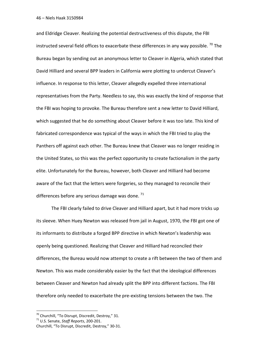and Eldridge Cleaver. Realizing the potential destructiveness of this dispute, the FBI instructed several field offices to exacerbate these differences in any way possible.  $^{70}$  The Bureau began by sending out an anonymous letter to Cleaver in Algeria, which stated that David Hilliard and several BPP leaders in California were plotting to undercut Cleaver's influence. In response to this letter, Cleaver allegedly expelled three international representatives from the Party. Needless to say, this was exactly the kind of response that the FBI was hoping to provoke. The Bureau therefore sent a new letter to David Hilliard, which suggested that he do something about Cleaver before it was too late. This kind of fabricated correspondence was typical of the ways in which the FBI tried to play the Panthers off against each other. The Bureau knew that Cleaver was no longer residing in the United States, so this was the perfect opportunity to create factionalism in the party elite. Unfortunately for the Bureau, however, both Cleaver and Hilliard had become aware of the fact that the letters were forgeries, so they managed to reconcile their differences before any serious damage was done.  $71$ 

The FBI clearly failed to drive Cleaver and Hilliard apart, but it had more tricks up its sleeve. When Huey Newton was released from jail in August, 1970, the FBI got one of its informants to distribute a forged BPP directive in which Newton's leadership was openly being questioned. Realizing that Cleaver and Hilliard had reconciled their differences, the Bureau would now attempt to create a rift between the two of them and Newton. This was made considerably easier by the fact that the ideological differences between Cleaver and Newton had already split the BPP into different factions. The FBI therefore only needed to exacerbate the pre-existing tensions between the two. The

 $70$  Churchill, "To Disrupt, Discredit, Destroy," 31.

<sup>71</sup> U.S. Senate, *Staff Reports*, 200-201.

Churchill, "To Disrupt, Discredit, Destroy," 30-31.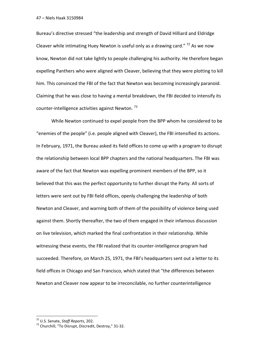Bureau's directive stressed "the leadership and strength of David Hilliard and Eldridge Cleaver while intimating Huey Newton is useful only as a drawing card."  $72$  As we now know, Newton did not take lightly to people challenging his authority. He therefore began expelling Panthers who were aligned with Cleaver, believing that they were plotting to kill him. This convinced the FBI of the fact that Newton was becoming increasingly paranoid. Claiming that he was close to having a mental breakdown, the FBI decided to intensify its counter-intelligence activities against Newton.<sup>73</sup>

While Newton continued to expel people from the BPP whom he considered to be "enemies of the people" (i.e. people aligned with Cleaver), the FBI intensified its actions. In February, 1971, the Bureau asked its field offices to come up with a program to disrupt the relationship between local BPP chapters and the national headquarters. The FBI was aware of the fact that Newton was expelling prominent members of the BPP, so it believed that this was the perfect opportunity to further disrupt the Party. All sorts of letters were sent out by FBI field offices, openly challenging the leadership of both Newton and Cleaver, and warning both of them of the possibility of violence being used against them. Shortly thereafter, the two of them engaged in their infamous discussion on live television, which marked the final confrontation in their relationship. While witnessing these events, the FBI realized that its counter-intelligence program had succeeded. Therefore, on March 25, 1971, the FBI's headquarters sent out a letter to its field offices in Chicago and San Francisco, which stated that "the differences between Newton and Cleaver now appear to be irreconcilable, no further counterintelligence

<sup>72</sup> U.S. Senate, *Staff Reports*, 202.

<sup>73</sup> Churchill, "To Disrupt, Discredit, Destroy," 31-32.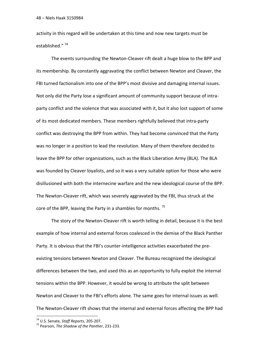activity in this regard will be undertaken at this time and now new targets must be established."<sup>74</sup>

The events surrounding the Newton-Cleaver rift dealt a huge blow to the BPP and its membership. By constantly aggravating the conflict between Newton and Cleaver, the FBI turned factionalism into one of the BPP's most divisive and damaging internal issues. Not only did the Party lose a significant amount of community support because of intraparty conflict and the violence that was associated with it, but it also lost support of some of its most dedicated members. These members rightfully believed that intra-party conflict was destroying the BPP from within. They had become convinced that the Party was no longer in a position to lead the revolution. Many of them therefore decided to leave the BPP for other organizations, such as the Black Liberation Army (BLA). The BLA was founded by Cleaver loyalists, and so it was a very suitable option for those who were disillusioned with both the internecine warfare and the new ideological course of the BPP. The Newton-Cleaver rift, which was severely aggravated by the FBI, thus struck at the core of the BPP, leaving the Party in a shambles for months.<sup>75</sup>

The story of the Newton-Cleaver rift is worth telling in detail, because it is the best example of how internal and external forces coalesced in the demise of the Black Panther Party. It is obvious that the FBI's counter-intelligence activities exacerbated the preexisting tensions between Newton and Cleaver. The Bureau recognized the ideological differences between the two, and used this as an opportunity to fully exploit the internal tensions within the BPP. However, it would be wrong to attribute the split between Newton and Cleaver to the FBI's efforts alone. The same goes for internal issues as well. The Newton-Cleaver rift shows that the internal and external forces affecting the BPP had

<sup>74</sup> U.S. Senate, *Staff Reports*, 205-207.

<sup>75</sup> Pearson, *The Shadow of the Panther*, 231-233.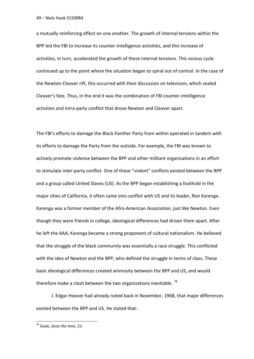a mutually reinforcing effect on one another. The growth of internal tensions within the BPP led the FBI to increase its counter-intelligence activities, and this increase of activities, in turn, accelerated the growth of these internal tensions. This vicious cycle continued up to the point where the situation began to spiral out of control. In the case of the Newton-Cleaver rift, this occurred with their discussion on television, which sealed Cleaver's fate. Thus, in the end it was the combination of FBI counter-intelligence activities and intra-party conflict that drove Newton and Cleaver apart.

The FBI's efforts to damage the Black Panther Party from within operated in tandem with its efforts to damage the Party from the outside. For example, the FBI was known to actively promote violence between the BPP and other militant organizations in an effort to stimulate inter-party conflict. One of these "violent" conflicts existed between the BPP and a group called United Slaves (US). As the BPP began establishing a foothold in the major cities of California, it often came into conflict with US and its leader, Ron Karenga. Karenga was a former member of the Afro-American Association, just like Newton. Even though they were friends in college, ideological differences had driven them apart. After he left the AAA, Karenga became a strong proponent of cultural nationalism. He believed that the struggle of the black community was essentially a race struggle. This conflicted with the idea of Newton and the BPP, who defined the struggle in terms of class. These basic ideological differences created animosity between the BPP and US, and would therefore make a clash between the two organizations inevitable.<sup>76</sup>

J. Edgar Hoover had already noted back in November, 1968, that major differences existed between the BPP and US. He stated that:

<sup>76</sup> Seale, *Seize the time*, 23.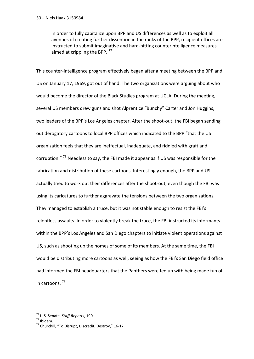In order to fully capitalize upon BPP and US differences as well as to exploit all avenues of creating further dissention in the ranks of the BPP, recipient offices are instructed to submit imaginative and hard-hitting counterintelligence measures aimed at crippling the BPP.  $^{77}$ 

This counter-intelligence program effectively began after a meeting between the BPP and US on January 17, 1969, got out of hand. The two organizations were arguing about who would become the director of the Black Studies program at UCLA. During the meeting, several US members drew guns and shot Alprentice "Bunchy" Carter and Jon Huggins, two leaders of the BPP's Los Angeles chapter. After the shoot-out, the FBI began sending out derogatory cartoons to local BPP offices which indicated to the BPP "that the US organization feels that they are ineffectual, inadequate, and riddled with graft and corruption." <sup>78</sup> Needless to say, the FBI made it appear as if US was responsible for the fabrication and distribution of these cartoons. Interestingly enough, the BPP and US actually tried to work out their differences after the shoot-out, even though the FBI was using its caricatures to further aggravate the tensions between the two organizations. They managed to establish a truce, but it was not stable enough to resist the FBI's relentless assaults. In order to violently break the truce, the FBI instructed its informants within the BPP's Los Angeles and San Diego chapters to initiate violent operations against US, such as shooting up the homes of some of its members. At the same time, the FBI would be distributing more cartoons as well, seeing as how the FBI's San Diego field office had informed the FBI headquarters that the Panthers were fed up with being made fun of in cartoons. <sup>79</sup>

<sup>77</sup> U.S. Senate, *Staff Reports*, 190.

<sup>78</sup> Ibidem.

<sup>&</sup>lt;sup>79</sup> Churchill, "To Disrupt, Discredit, Destroy," 16-17.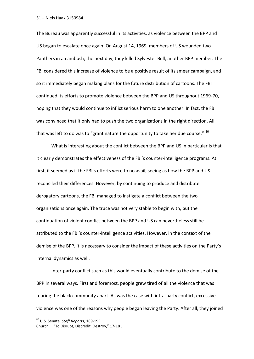The Bureau was apparently successful in its activities, as violence between the BPP and US began to escalate once again. On August 14, 1969, members of US wounded two Panthers in an ambush; the next day, they killed Sylvester Bell, another BPP member. The FBI considered this increase of violence to be a positive result of its smear campaign, and so it immediately began making plans for the future distribution of cartoons. The FBI continued its efforts to promote violence between the BPP and US throughout 1969-70, hoping that they would continue to inflict serious harm to one another. In fact, the FBI was convinced that it only had to push the two organizations in the right direction. All that was left to do was to "grant nature the opportunity to take her due course."  $80$ 

What is interesting about the conflict between the BPP and US in particular is that it clearly demonstrates the effectiveness of the FBI's counter-intelligence programs. At first, it seemed as if the FBI's efforts were to no avail, seeing as how the BPP and US reconciled their differences. However, by continuing to produce and distribute derogatory cartoons, the FBI managed to instigate a conflict between the two organizations once again. The truce was not very stable to begin with, but the continuation of violent conflict between the BPP and US can nevertheless still be attributed to the FBI's counter-intelligence activities. However, in the context of the demise of the BPP, it is necessary to consider the impact of these activities on the Party's internal dynamics as well.

Inter-party conflict such as this would eventually contribute to the demise of the BPP in several ways. First and foremost, people grew tired of all the violence that was tearing the black community apart. As was the case with intra-party conflict, excessive violence was one of the reasons why people began leaving the Party. After all, they joined

<sup>80</sup> U.S. Senate, *Staff Reports*, 189-195.

Churchill, "To Disrupt, Discredit, Destroy," 17-18 .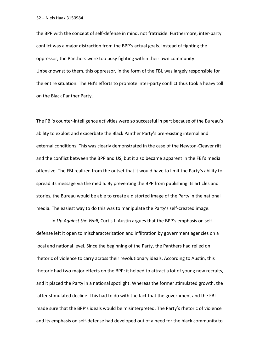the BPP with the concept of self-defense in mind, not fratricide. Furthermore, inter-party conflict was a major distraction from the BPP's actual goals. Instead of fighting the oppressor, the Panthers were too busy fighting within their own community. Unbeknownst to them, this oppressor, in the form of the FBI, was largely responsible for the entire situation. The FBI's efforts to promote inter-party conflict thus took a heavy toll on the Black Panther Party.

The FBI's counter-intelligence activities were so successful in part because of the Bureau's ability to exploit and exacerbate the Black Panther Party's pre-existing internal and external conditions. This was clearly demonstrated in the case of the Newton-Cleaver rift and the conflict between the BPP and US, but it also became apparent in the FBI's media offensive. The FBI realized from the outset that it would have to limit the Party's ability to spread its message via the media. By preventing the BPP from publishing its articles and stories, the Bureau would be able to create a distorted image of the Party in the national media. The easiest way to do this was to manipulate the Party's self-created image.

In *Up Against the Wall*, Curtis J. Austin argues that the BPP's emphasis on selfdefense left it open to mischaracterization and infiltration by government agencies on a local and national level. Since the beginning of the Party, the Panthers had relied on rhetoric of violence to carry across their revolutionary ideals. According to Austin, this rhetoric had two major effects on the BPP: it helped to attract a lot of young new recruits, and it placed the Party in a national spotlight. Whereas the former stimulated growth, the latter stimulated decline. This had to do with the fact that the government and the FBI made sure that the BPP's ideals would be misinterpreted. The Party's rhetoric of violence and its emphasis on self-defense had developed out of a need for the black community to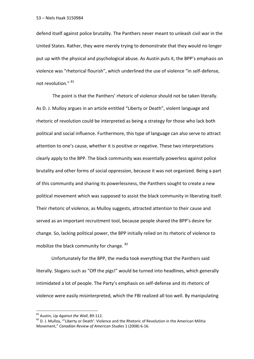defend itself against police brutality. The Panthers never meant to unleash civil war in the United States. Rather, they were merely trying to demonstrate that they would no longer put up with the physical and psychological abuse. As Austin puts it, the BPP's emphasis on violence was "rhetorical flourish", which underlined the use of violence "in self-defense, not revolution." <sup>81</sup>

The point is that the Panthers' rhetoric of violence should not be taken literally. As D. J. Mulloy argues in an article entitled "Liberty or Death", violent language and rhetoric of revolution could be interpreted as being a strategy for those who lack both political and social influence. Furthermore, this type of language can also serve to attract attention to one's cause, whether it is positive or negative. These two interpretations clearly apply to the BPP. The black community was essentially powerless against police brutality and other forms of social oppression, because it was not organized. Being a part of this community and sharing its powerlessness, the Panthers sought to create a new political movement which was supposed to assist the black community in liberating itself. Their rhetoric of violence, as Mulloy suggests, attracted attention to their cause and served as an important recruitment tool, because people shared the BPP's desire for change. So, lacking political power, the BPP initially relied on its rhetoric of violence to mobilize the black community for change. <sup>82</sup>

Unfortunately for the BPP, the media took everything that the Panthers said literally. Slogans such as "Off the pigs!" would be turned into headlines, which generally intimidated a lot of people. The Party's emphasis on self-defense and its rhetoric of violence were easily misinterpreted, which the FBI realized all too well. By manipulating

<sup>81</sup> Austin, *Up Against the Wall*, 89-112.

 $82$  D. J. Mulloy, "'Liberty or Death': Violence and the Rhetoric of Revolution in the American Militia Movement," *Canadian Review of American Studies* 1 (2008) 6-16.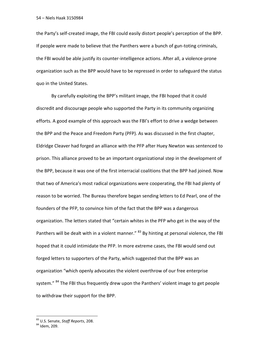the Party's self-created image, the FBI could easily distort people's perception of the BPP. If people were made to believe that the Panthers were a bunch of gun-toting criminals, the FBI would be able justify its counter-intelligence actions. After all, a violence-prone organization such as the BPP would have to be repressed in order to safeguard the status quo in the United States.

By carefully exploiting the BPP's militant image, the FBI hoped that it could discredit and discourage people who supported the Party in its community organizing efforts. A good example of this approach was the FBI's effort to drive a wedge between the BPP and the Peace and Freedom Party (PFP). As was discussed in the first chapter, Eldridge Cleaver had forged an alliance with the PFP after Huey Newton was sentenced to prison. This alliance proved to be an important organizational step in the development of the BPP, because it was one of the first interracial coalitions that the BPP had joined. Now that two of America's most radical organizations were cooperating, the FBI had plenty of reason to be worried. The Bureau therefore began sending letters to Ed Pearl, one of the founders of the PFP, to convince him of the fact that the BPP was a dangerous organization. The letters stated that "certain whites in the PFP who get in the way of the Panthers will be dealt with in a violent manner." <sup>83</sup> By hinting at personal violence, the FBI hoped that it could intimidate the PFP. In more extreme cases, the FBI would send out forged letters to supporters of the Party, which suggested that the BPP was an organization "which openly advocates the violent overthrow of our free enterprise system." <sup>84</sup> The FBI thus frequently drew upon the Panthers' violent image to get people to withdraw their support for the BPP.

<sup>83</sup> U.S. Senate, *Staff Reports*, 208.

<sup>84</sup> Idem, 209.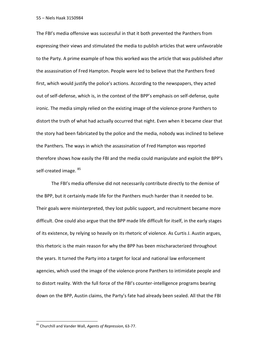The FBI's media offensive was successful in that it both prevented the Panthers from expressing their views and stimulated the media to publish articles that were unfavorable to the Party. A prime example of how this worked was the article that was published after the assassination of Fred Hampton. People were led to believe that the Panthers fired first, which would justify the police's actions. According to the newspapers, they acted out of self-defense, which is, in the context of the BPP's emphasis on self-defense, quite ironic. The media simply relied on the existing image of the violence-prone Panthers to distort the truth of what had actually occurred that night. Even when it became clear that the story had been fabricated by the police and the media, nobody was inclined to believe the Panthers. The ways in which the assassination of Fred Hampton was reported therefore shows how easily the FBI and the media could manipulate and exploit the BPP's self-created image. <sup>85</sup>

The FBI's media offensive did not necessarily contribute directly to the demise of the BPP, but it certainly made life for the Panthers much harder than it needed to be. Their goals were misinterpreted, they lost public support, and recruitment became more difficult. One could also argue that the BPP made life difficult for itself, in the early stages of its existence, by relying so heavily on its rhetoric of violence. As Curtis J. Austin argues, this rhetoric is the main reason for why the BPP has been mischaracterized throughout the years. It turned the Party into a target for local and national law enforcement agencies, which used the image of the violence-prone Panthers to intimidate people and to distort reality. With the full force of the FBI's counter-intelligence programs bearing down on the BPP, Austin claims, the Party's fate had already been sealed. All that the FBI

<sup>85</sup> Churchill and Vander Wall, *Agents of Repression*, 63-77.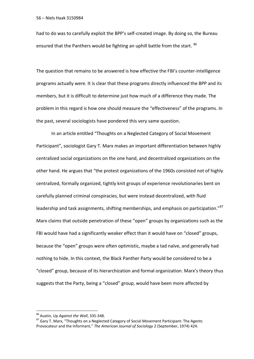had to do was to carefully exploit the BPP's self-created image. By doing so, the Bureau ensured that the Panthers would be fighting an uphill battle from the start. <sup>86</sup>

The question that remains to be answered is how effective the FBI's counter-intelligence programs actually were. It is clear that these programs directly influenced the BPP and its members, but it is difficult to determine just how much of a difference they made. The problem in this regard is how one should measure the "effectiveness" of the programs. In the past, several sociologists have pondered this very same question.

In an article entitled "Thoughts on a Neglected Category of Social Movement Participant", sociologist Gary T. Marx makes an important differentiation between highly centralized social organizations on the one hand, and decentralized organizations on the other hand. He argues that "the protest organizations of the 1960s consisted not of highly centralized, formally organized, tightly knit groups of experience revolutionaries bent on carefully planned criminal conspiracies, but were instead decentralized, with fluid leadership and task assignments, shifting memberships, and emphasis on participation."<sup>87</sup> Marx claims that outside penetration of these "open" groups by organizations such as the FBI would have had a significantly weaker effect than it would have on "closed" groups, because the "open" groups were often optimistic, maybe a tad naïve, and generally had nothing to hide. In this context, the Black Panther Party would be considered to be a "closed" group, because of its hierarchization and formal organization. Marx's theory thus suggests that the Party, being a "closed" group, would have been more affected by

<sup>86</sup> Austin, *Up Against the Wall*, 335-348.

 $87$  Gary T. Marx, "Thoughts on a Neglected Category of Social Movement Participant: The Agents Provocateur and the Informant," *The American Journal of Sociology* 2 (September, 1974) 424.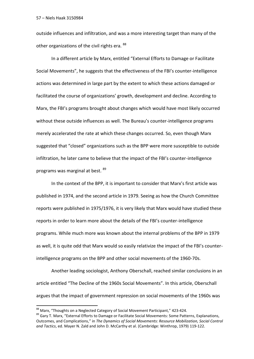outside influences and infiltration, and was a more interesting target than many of the other organizations of the civil rights era. <sup>88</sup>

In a different article by Marx, entitled "External Efforts to Damage or Facilitate Social Movements", he suggests that the effectiveness of the FBI's counter-intelligence actions was determined in large part by the extent to which these actions damaged or facilitated the course of organizations' growth, development and decline. According to Marx, the FBI's programs brought about changes which would have most likely occurred without these outside influences as well. The Bureau's counter-intelligence programs merely accelerated the rate at which these changes occurred. So, even though Marx suggested that "closed" organizations such as the BPP were more susceptible to outside infiltration, he later came to believe that the impact of the FBI's counter-intelligence programs was marginal at best. <sup>89</sup>

In the context of the BPP, it is important to consider that Marx's first article was published in 1974, and the second article in 1979. Seeing as how the Church Committee reports were published in 1975/1976, it is very likely that Marx would have studied these reports in order to learn more about the details of the FBI's counter-intelligence programs. While much more was known about the internal problems of the BPP in 1979 as well, it is quite odd that Marx would so easily relativize the impact of the FBI's counterintelligence programs on the BPP and other social movements of the 1960-70s.

Another leading sociologist, Anthony Oberschall, reached similar conclusions in an article entitled "The Decline of the 1960s Social Movements". In this article, Oberschall argues that the impact of government repression on social movements of the 1960s was

<sup>88</sup> Marx, "Thoughts on a Neglected Category of Social Movement Participant," 423-424.

<sup>89</sup> Gary T. Marx, "External Efforts to Damage or Facilitate Social Movements: Some Patterns, Explanations, Outcomes, and Complications," in *The Dynamics of Social Movements: Resource Mobilization, Social Control and Tactics*, ed. Mayer N. Zald and John D. McCarthy et al. (Cambridge: Winthrop, 1979) 119-122.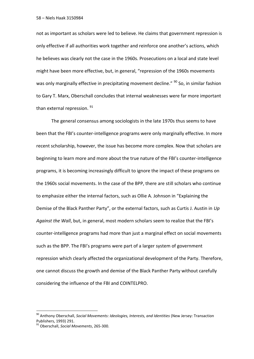not as important as scholars were led to believe. He claims that government repression is only effective if all authorities work together and reinforce one another's actions, which he believes was clearly not the case in the 1960s. Prosecutions on a local and state level might have been more effective, but, in general, "repression of the 1960s movements was only marginally effective in precipitating movement decline." <sup>90</sup> So, in similar fashion to Gary T. Marx, Oberschall concludes that internal weaknesses were far more important than external repression. <sup>91</sup>

The general consensus among sociologists in the late 1970s thus seems to have been that the FBI's counter-intelligence programs were only marginally effective. In more recent scholarship, however, the issue has become more complex. Now that scholars are beginning to learn more and more about the true nature of the FBI's counter-intelligence programs, it is becoming increasingly difficult to ignore the impact of these programs on the 1960s social movements. In the case of the BPP, there are still scholars who continue to emphasize either the internal factors, such as Ollie A. Johnson in "Explaining the Demise of the Black Panther Party", or the external factors, such as Curtis J. Austin in *Up Against the Wall*, but, in general, most modern scholars seem to realize that the FBI's counter-intelligence programs had more than just a marginal effect on social movements such as the BPP. The FBI's programs were part of a larger system of government repression which clearly affected the organizational development of the Party. Therefore, one cannot discuss the growth and demise of the Black Panther Party without carefully considering the influence of the FBI and COINTELPRO.

<sup>90</sup> Anthony Oberschall, *Social Movements: Ideologies, Interests, and Identities* (New Jersey: Transaction Publishers, 1993) 291.

<sup>91</sup> Oberschall, *Social Movements*, 265-300.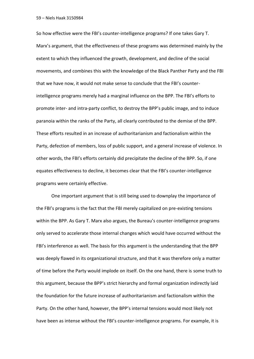So how effective were the FBI's counter-intelligence programs? If one takes Gary T. Marx's argument, that the effectiveness of these programs was determined mainly by the extent to which they influenced the growth, development, and decline of the social movements, and combines this with the knowledge of the Black Panther Party and the FBI that we have now, it would not make sense to conclude that the FBI's counterintelligence programs merely had a marginal influence on the BPP. The FBI's efforts to promote inter- and intra-party conflict, to destroy the BPP's public image, and to induce paranoia within the ranks of the Party, all clearly contributed to the demise of the BPP. These efforts resulted in an increase of authoritarianism and factionalism within the Party, defection of members, loss of public support, and a general increase of violence. In other words, the FBI's efforts certainly did precipitate the decline of the BPP. So, if one equates effectiveness to decline, it becomes clear that the FBI's counter-intelligence programs were certainly effective.

One important argument that is still being used to downplay the importance of the FBI's programs is the fact that the FBI merely capitalized on pre-existing tensions within the BPP. As Gary T. Marx also argues, the Bureau's counter-intelligence programs only served to accelerate those internal changes which would have occurred without the FBI's interference as well. The basis for this argument is the understanding that the BPP was deeply flawed in its organizational structure, and that it was therefore only a matter of time before the Party would implode on itself. On the one hand, there is some truth to this argument, because the BPP's strict hierarchy and formal organization indirectly laid the foundation for the future increase of authoritarianism and factionalism within the Party. On the other hand, however, the BPP's internal tensions would most likely not have been as intense without the FBI's counter-intelligence programs. For example, it is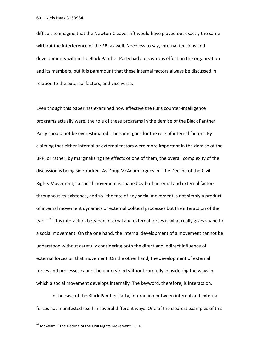difficult to imagine that the Newton-Cleaver rift would have played out exactly the same without the interference of the FBI as well. Needless to say, internal tensions and developments within the Black Panther Party had a disastrous effect on the organization and its members, but it is paramount that these internal factors always be discussed in relation to the external factors, and vice versa.

Even though this paper has examined how effective the FBI's counter-intelligence programs actually were, the role of these programs in the demise of the Black Panther Party should not be overestimated. The same goes for the role of internal factors. By claiming that either internal or external factors were more important in the demise of the BPP, or rather, by marginalizing the effects of one of them, the overall complexity of the discussion is being sidetracked. As Doug McAdam argues in "The Decline of the Civil Rights Movement," a social movement is shaped by both internal and external factors throughout its existence, and so "the fate of any social movement is not simply a product of internal movement dynamics or external political processes but the interaction of the two." <sup>92</sup> This interaction between internal and external forces is what really gives shape to a social movement. On the one hand, the internal development of a movement cannot be understood without carefully considering both the direct and indirect influence of external forces on that movement. On the other hand, the development of external forces and processes cannot be understood without carefully considering the ways in which a social movement develops internally. The keyword, therefore, is interaction.

In the case of the Black Panther Party, interaction between internal and external forces has manifested itself in several different ways. One of the clearest examples of this

 $^{92}$  McAdam, "The Decline of the Civil Rights Movement," 316.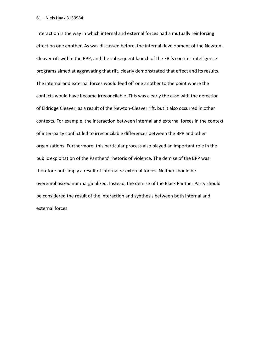interaction is the way in which internal and external forces had a mutually reinforcing effect on one another. As was discussed before, the internal development of the Newton-Cleaver rift within the BPP, and the subsequent launch of the FBI's counter-intelligence programs aimed at aggravating that rift, clearly demonstrated that effect and its results. The internal and external forces would feed off one another to the point where the conflicts would have become irreconcilable. This was clearly the case with the defection of Eldridge Cleaver, as a result of the Newton-Cleaver rift, but it also occurred in other contexts. For example, the interaction between internal and external forces in the context of inter-party conflict led to irreconcilable differences between the BPP and other organizations. Furthermore, this particular process also played an important role in the public exploitation of the Panthers' rhetoric of violence. The demise of the BPP was therefore not simply a result of internal *or* external forces. Neither should be overemphasized nor marginalized. Instead, the demise of the Black Panther Party should be considered the result of the interaction and synthesis between both internal and external forces.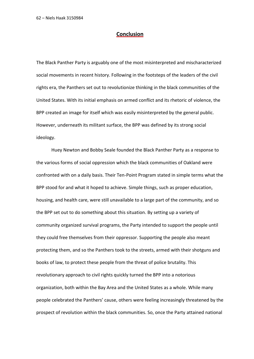### **Conclusion**

The Black Panther Party is arguably one of the most misinterpreted and mischaracterized social movements in recent history. Following in the footsteps of the leaders of the civil rights era, the Panthers set out to revolutionize thinking in the black communities of the United States. With its initial emphasis on armed conflict and its rhetoric of violence, the BPP created an image for itself which was easily misinterpreted by the general public. However, underneath its militant surface, the BPP was defined by its strong social ideology.

Huey Newton and Bobby Seale founded the Black Panther Party as a response to the various forms of social oppression which the black communities of Oakland were confronted with on a daily basis. Their Ten-Point Program stated in simple terms what the BPP stood for and what it hoped to achieve. Simple things, such as proper education, housing, and health care, were still unavailable to a large part of the community, and so the BPP set out to do something about this situation. By setting up a variety of community organized survival programs, the Party intended to support the people until they could free themselves from their oppressor. Supporting the people also meant protecting them, and so the Panthers took to the streets, armed with their shotguns and books of law, to protect these people from the threat of police brutality. This revolutionary approach to civil rights quickly turned the BPP into a notorious organization, both within the Bay Area and the United States as a whole. While many people celebrated the Panthers' cause, others were feeling increasingly threatened by the prospect of revolution within the black communities. So, once the Party attained national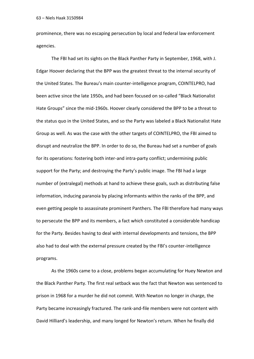prominence, there was no escaping persecution by local and federal law enforcement agencies.

The FBI had set its sights on the Black Panther Party in September, 1968, with J. Edgar Hoover declaring that the BPP was the greatest threat to the internal security of the United States. The Bureau's main counter-intelligence program, COINTELPRO, had been active since the late 1950s, and had been focused on so-called "Black Nationalist Hate Groups" since the mid-1960s. Hoover clearly considered the BPP to be a threat to the status quo in the United States, and so the Party was labeled a Black Nationalist Hate Group as well. As was the case with the other targets of COINTELPRO, the FBI aimed to disrupt and neutralize the BPP. In order to do so, the Bureau had set a number of goals for its operations: fostering both inter-and intra-party conflict; undermining public support for the Party; and destroying the Party's public image. The FBI had a large number of (extralegal) methods at hand to achieve these goals, such as distributing false information, inducing paranoia by placing informants within the ranks of the BPP, and even getting people to assassinate prominent Panthers. The FBI therefore had many ways to persecute the BPP and its members, a fact which constituted a considerable handicap for the Party. Besides having to deal with internal developments and tensions, the BPP also had to deal with the external pressure created by the FBI's counter-intelligence programs.

As the 1960s came to a close, problems began accumulating for Huey Newton and the Black Panther Party. The first real setback was the fact that Newton was sentenced to prison in 1968 for a murder he did not commit. With Newton no longer in charge, the Party became increasingly fractured. The rank-and-file members were not content with David Hilliard's leadership, and many longed for Newton's return. When he finally did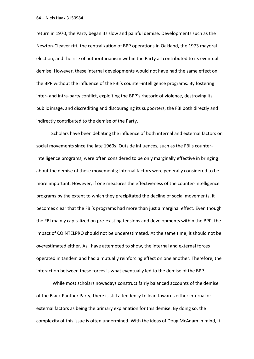return in 1970, the Party began its slow and painful demise. Developments such as the Newton-Cleaver rift, the centralization of BPP operations in Oakland, the 1973 mayoral election, and the rise of authoritarianism within the Party all contributed to its eventual demise. However, these internal developments would not have had the same effect on the BPP without the influence of the FBI's counter-intelligence programs. By fostering inter- and intra-party conflict, exploiting the BPP's rhetoric of violence, destroying its public image, and discrediting and discouraging its supporters, the FBI both directly and indirectly contributed to the demise of the Party.

Scholars have been debating the influence of both internal and external factors on social movements since the late 1960s. Outside influences, such as the FBI's counterintelligence programs, were often considered to be only marginally effective in bringing about the demise of these movements; internal factors were generally considered to be more important. However, if one measures the effectiveness of the counter-intelligence programs by the extent to which they precipitated the decline of social movements, it becomes clear that the FBI's programs had more than just a marginal effect. Even though the FBI mainly capitalized on pre-existing tensions and developments within the BPP, the impact of COINTELPRO should not be underestimated. At the same time, it should not be *over*estimated either. As I have attempted to show, the internal and external forces operated in tandem and had a mutually reinforcing effect on one another. Therefore, the interaction between these forces is what eventually led to the demise of the BPP.

While most scholars nowadays construct fairly balanced accounts of the demise of the Black Panther Party, there is still a tendency to lean towards either internal or external factors as being the primary explanation for this demise. By doing so, the complexity of this issue is often undermined. With the ideas of Doug McAdam in mind, it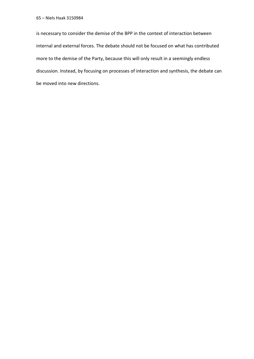is necessary to consider the demise of the BPP in the context of interaction between internal and external forces. The debate should not be focused on what has contributed more to the demise of the Party, because this will only result in a seemingly endless discussion. Instead, by focusing on processes of interaction and synthesis, the debate can be moved into new directions.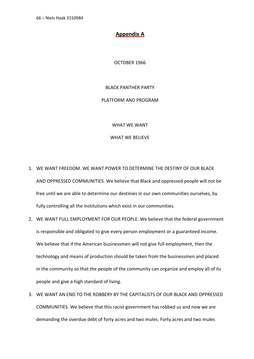# **Appendix A**

OCTOBER 1966

### BLACK PANTHER PARTY

## PLATFORM AND PROGRAM

WHAT WE WANT

## WHAT WE BELIEVE

- 1. WE WANT FREEDOM. WE WANT POWER TO DETERMINE THE DESTINY OF OUR BLACK AND OPPRESSED COMMUNITIES. We believe that Black and oppressed people will not be free until we are able to determine our destinies in our own communities ourselves, by fully controlling all the institutions which exist in our communities.
- 2. WE WANT FULL EMPLOYMENT FOR OUR PEOPLE. We believe that the federal government is responsible and obligated to give every person employment or a guaranteed income. We believe that if the American businessmen will not give full employment, then the technology and means of production should be taken from the businessmen and placed in the community so that the people of the community can organize and employ all of its people and give a high standard of living.
- 3. WE WANT AN END TO THE ROBBERY BY THE CAPITALISTS OF OUR BLACK AND OPPRESSED COMMUNITIES. We believe that this racist government has robbed us and now we are demanding the overdue debt of forty acres and two mules. Forty acres and two mules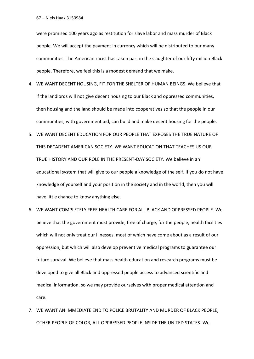were promised 100 years ago as restitution for slave labor and mass murder of Black people. We will accept the payment in currency which will be distributed to our many communities. The American racist has taken part in the slaughter of our fifty million Black people. Therefore, we feel this is a modest demand that we make.

- 4. WE WANT DECENT HOUSING, FIT FOR THE SHELTER OF HUMAN BEINGS. We believe that if the landlords will not give decent housing to our Black and oppressed communities, then housing and the land should be made into cooperatives so that the people in our communities, with government aid, can build and make decent housing for the people.
- 5. WE WANT DECENT EDUCATION FOR OUR PEOPLE THAT EXPOSES THE TRUE NATURE OF THIS DECADENT AMERICAN SOCIETY. WE WANT EDUCATION THAT TEACHES US OUR TRUE HISTORY AND OUR ROLE IN THE PRESENT-DAY SOCIETY. We believe in an educational system that will give to our people a knowledge of the self. If you do not have knowledge of yourself and your position in the society and in the world, then you will have little chance to know anything else.
- 6. WE WANT COMPLETELY FREE HEALTH CARE FOR ALL BLACK AND OPPRESSED PEOPLE. We believe that the government must provide, free of charge, for the people, health facilities which will not only treat our illnesses, most of which have come about as a result of our oppression, but which will also develop preventive medical programs to guarantee our future survival. We believe that mass health education and research programs must be developed to give all Black and oppressed people access to advanced scientific and medical information, so we may provide ourselves with proper medical attention and care.
- 7. WE WANT AN IMMEDIATE END TO POLICE BRUTALITY AND MURDER OF BLACK PEOPLE, OTHER PEOPLE OF COLOR, ALL OPPRESSED PEOPLE INSIDE THE UNITED STATES. We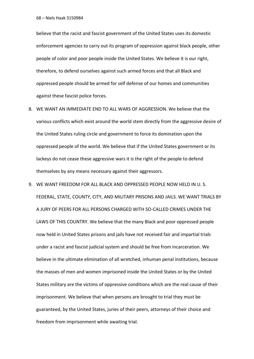believe that the racist and fascist government of the United States uses its domestic enforcement agencies to carry out its program of oppression against black people, other people of color and poor people inside the United States. We believe it is our right, therefore, to defend ourselves against such armed forces and that all Black and oppressed people should be armed for self defense of our homes and communities against these fascist police forces.

- 8. WE WANT AN IMMEDIATE END TO ALL WARS OF AGGRESSION. We believe that the various conflicts which exist around the world stem directly from the aggressive desire of the United States ruling circle and government to force its domination upon the oppressed people of the world. We believe that if the United States government or its lackeys do not cease these aggressive wars it is the right of the people to defend themselves by any means necessary against their aggressors.
- 9. WE WANT FREEDOM FOR ALL BLACK AND OPPRESSED PEOPLE NOW HELD IN U. S. FEDERAL, STATE, COUNTY, CITY, AND MILITARY PRISONS AND JAILS. WE WANT TRIALS BY A JURY OF PEERS FOR ALL PERSONS CHARGED WITH SO-CALLED CRIMES UNDER THE LAWS OF THIS COUNTRY. We believe that the many Black and poor oppressed people now held in United States prisons and jails have not received fair and impartial trials under a racist and fascist judicial system and should be free from incarceration. We believe in the ultimate elimination of all wretched, inhuman penal institutions, because the masses of men and women imprisoned inside the United States or by the United States military are the victims of oppressive conditions which are the real cause of their imprisonment. We believe that when persons are brought to trial they must be guaranteed, by the United States, juries of their peers, attorneys of their choice and freedom from imprisonment while awaiting trial.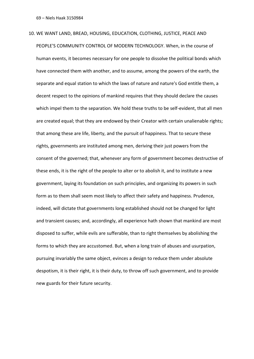10. WE WANT LAND, BREAD, HOUSING, EDUCATION, CLOTHING, JUSTICE, PEACE AND PEOPLE'S COMMUNITY CONTROL OF MODERN TECHNOLOGY. When, in the course of human events, it becomes necessary for one people to dissolve the political bonds which have connected them with another, and to assume, among the powers of the earth, the separate and equal station to which the laws of nature and nature's God entitle them, a decent respect to the opinions of mankind requires that they should declare the causes which impel them to the separation. We hold these truths to be self-evident, that all men are created equal; that they are endowed by their Creator with certain unalienable rights; that among these are life, liberty, and the pursuit of happiness. That to secure these rights, governments are instituted among men, deriving their just powers from the consent of the governed; that, whenever any form of government becomes destructive of these ends, it is the right of the people to alter or to abolish it, and to institute a new government, laying its foundation on such principles, and organizing its powers in such form as to them shall seem most likely to affect their safety and happiness. Prudence, indeed, will dictate that governments long established should not be changed for light and transient causes; and, accordingly, all experience hath shown that mankind are most disposed to suffer, while evils are sufferable, than to right themselves by abolishing the forms to which they are accustomed. But, when a long train of abuses and usurpation, pursuing invariably the same object, evinces a design to reduce them under absolute despotism, it is their right, it is their duty, to throw off such government, and to provide new guards for their future security.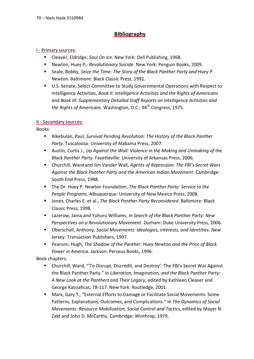# **Bibliography**

## I - Primary sources:

- Cleaver, Eldridge, *Soul On Ice*. New York: Dell Publishing, 1968.
- Newton, Huey P., *Revolutionary Suicide*. New York: Penguin Books, 2009.
- Seale, Bobby, Seize the Time: The Story of the Black Panther Party and Huey P. *Newton*. Baltimore: Black Classic Press, 1991.
- U.S. Senate, Select Committee to Study Governmental Operations with Respect to Intelligence Activities, *Book II: Intelligence Activities and the Rights of Americans*  and *Book III: Supplementary Detailed Staff Reports on Intelligence Activities and the Rights of Americans.* Washington, D.C.: 94<sup>th</sup> Congress, 1975.

# II - Secondary sources:

Books:

- Alkebulan, Paul, *Survival Pending Revolution: The History of the Black Panther Party*. Tuscaloosa: University of Alabama Press, 2007.
- Austin, Curtis J., *Up Against the Wall: Violence in the Making and Unmaking of the Black Panther Party.* Fayetteville: University of Arkansas Press, 2006.
- Churchill, Ward and Jim Vander Wall, *Agents of Repression: The FBI's Secret Wars Against the Black Panther Party and the American Indian Movement*. Cambridge: South End Press, 1988.
- The Dr. Huey P. Newton Foundation, *The Black Panther Party: Service to the People Programs.* Albuquerque: University of New Mexico Press, 2008.
- Jones, Charles E. et al., *The Black Panther Party Reconsidered*. Baltimore: Black Classic Press, 1998.
- Lazerow, Jama and Yuhuru Williams, *In Search of the Black Panther Party: New Perspectives on a Revolutionary Movement*. Durham: Duke University Press, 2006.
- Oberschall, Anthony, *Social Movements: Ideologies, Interests, and Identities*. New Jersey: Transaction Publishers, 1997.
- Pearson, Hugh, *The Shadow of the Panther: Huey Newton and the Price of Black Power in America*. Jackson: Perseus Books, 1996.

Book chapters:

- Churchill, Ward, "'To Disrupt, Discredit, and Destroy': The FBI's Secret War Against the Black Panther Party." In *Liberation, Imagination, and the Black Panther Party: A New Look at the Panthers and Their Legacy*, edited by Kathleen Cleaver and George Katsiaficas, 78-117. New York: Routledge, 2001.
- Marx, Gary T., "External Efforts to Damage or Facilitate Social Movements: Some Patterns, Explanations, Outcomes, and Complications." In *The Dynamics of Social Movements: Resource Mobilization, Social Control and Tactics*, edited by Mayer N. Zald and John D. McCarthy. Cambridge: Winthrop, 1979.